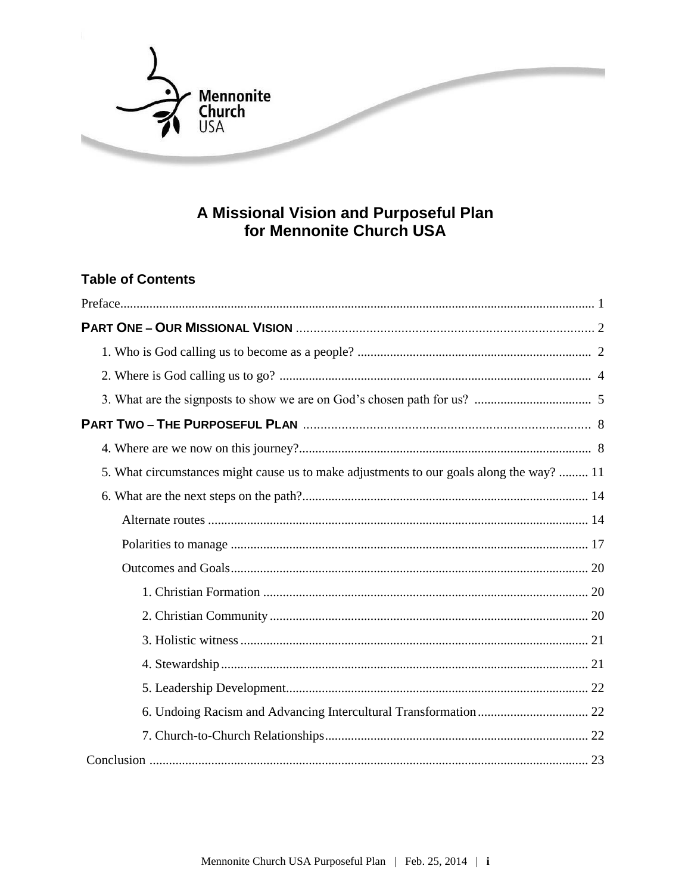

# A Missional Vision and Purposeful Plan<br>for Mennonite Church USA

## **Table of Contents**

| 5. What circumstances might cause us to make adjustments to our goals along the way?  11 |
|------------------------------------------------------------------------------------------|
|                                                                                          |
|                                                                                          |
|                                                                                          |
|                                                                                          |
|                                                                                          |
|                                                                                          |
|                                                                                          |
|                                                                                          |
|                                                                                          |
|                                                                                          |
|                                                                                          |
|                                                                                          |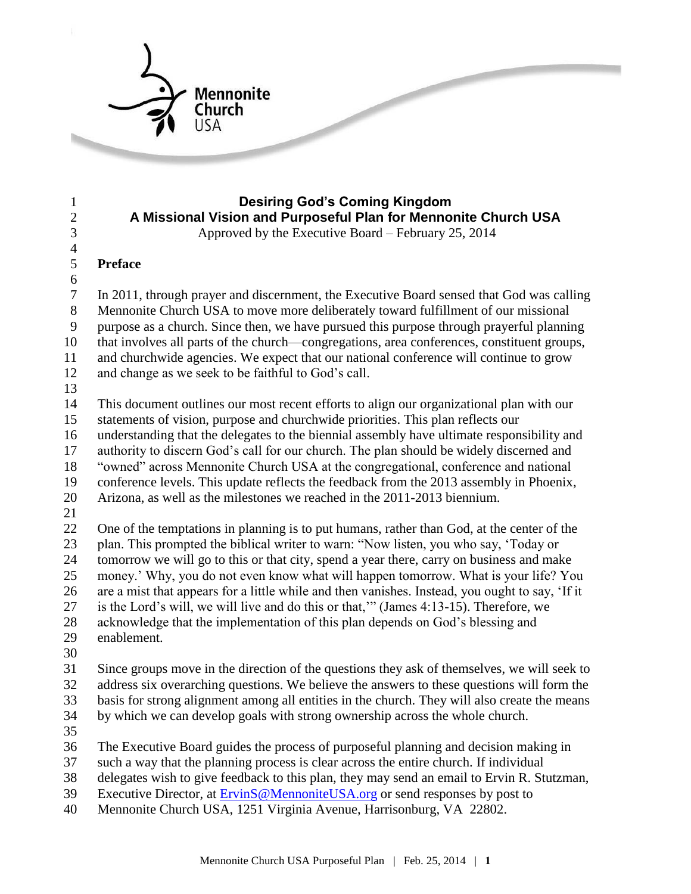

#### **Desiring God's Coming Kingdom A Missional Vision and Purposeful Plan for Mennonite Church USA** Approved by the Executive Board – February 25, 2014

## **Preface**

 In 2011, through prayer and discernment, the Executive Board sensed that God was calling Mennonite Church USA to move more deliberately toward fulfillment of our missional purpose as a church. Since then, we have pursued this purpose through prayerful planning that involves all parts of the church—congregations, area conferences, constituent groups, and churchwide agencies. We expect that our national conference will continue to grow and change as we seek to be faithful to God's call.

 This document outlines our most recent efforts to align our organizational plan with our statements of vision, purpose and churchwide priorities. This plan reflects our

understanding that the delegates to the biennial assembly have ultimate responsibility and

authority to discern God's call for our church. The plan should be widely discerned and

"owned" across Mennonite Church USA at the congregational, conference and national

conference levels. This update reflects the feedback from the 2013 assembly in Phoenix,

Arizona, as well as the milestones we reached in the 2011-2013 biennium.

 One of the temptations in planning is to put humans, rather than God, at the center of the plan. This prompted the biblical writer to warn: "Now listen, you who say, 'Today or tomorrow we will go to this or that city, spend a year there, carry on business and make money.' Why, you do not even know what will happen tomorrow. What is your life? You are a mist that appears for a little while and then vanishes. Instead, you ought to say, 'If it is the Lord's will, we will live and do this or that,'" (James 4:13-15). Therefore, we acknowledge that the implementation of this plan depends on God's blessing and

- enablement.
- 

 Since groups move in the direction of the questions they ask of themselves, we will seek to address six overarching questions. We believe the answers to these questions will form the basis for strong alignment among all entities in the church. They will also create the means by which we can develop goals with strong ownership across the whole church.

The Executive Board guides the process of purposeful planning and decision making in

such a way that the planning process is clear across the entire church. If individual

delegates wish to give feedback to this plan, they may send an email to Ervin R. Stutzman,

39 Executive Director, at **ErvinS**@MennoniteUSA.org or send responses by post to

Mennonite Church USA, 1251 Virginia Avenue, Harrisonburg, VA 22802.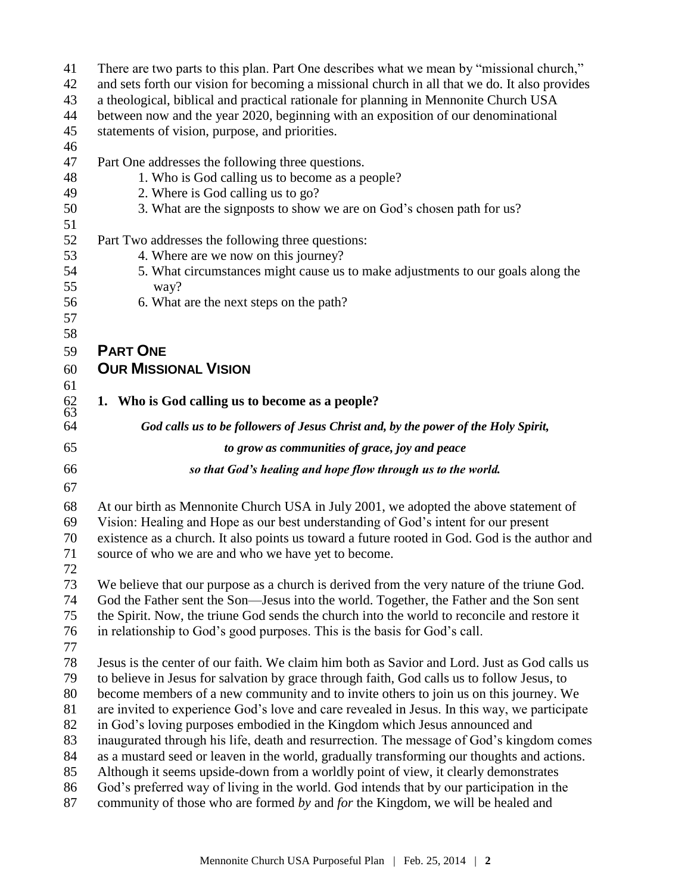| 41           | There are two parts to this plan. Part One describes what we mean by "missional church,"                                                                                        |
|--------------|---------------------------------------------------------------------------------------------------------------------------------------------------------------------------------|
| 42           | and sets forth our vision for becoming a missional church in all that we do. It also provides                                                                                   |
| 43           | a theological, biblical and practical rationale for planning in Mennonite Church USA                                                                                            |
| 44           | between now and the year 2020, beginning with an exposition of our denominational                                                                                               |
| 45           | statements of vision, purpose, and priorities.                                                                                                                                  |
| 46           |                                                                                                                                                                                 |
| 47           | Part One addresses the following three questions.                                                                                                                               |
| 48           | 1. Who is God calling us to become as a people?                                                                                                                                 |
| 49           | 2. Where is God calling us to go?                                                                                                                                               |
| 50           | 3. What are the signposts to show we are on God's chosen path for us?                                                                                                           |
| 51           |                                                                                                                                                                                 |
| 52           | Part Two addresses the following three questions:                                                                                                                               |
| 53           | 4. Where are we now on this journey?                                                                                                                                            |
| 54           | 5. What circumstances might cause us to make adjustments to our goals along the                                                                                                 |
| 55           | way?                                                                                                                                                                            |
| 56           | 6. What are the next steps on the path?                                                                                                                                         |
| 57           |                                                                                                                                                                                 |
| 58           |                                                                                                                                                                                 |
| 59           | <b>PART ONE</b>                                                                                                                                                                 |
|              | <b>OUR MISSIONAL VISION</b>                                                                                                                                                     |
| 60           |                                                                                                                                                                                 |
| 61           |                                                                                                                                                                                 |
| $62$<br>$63$ | 1. Who is God calling us to become as a people?                                                                                                                                 |
| 64           | God calls us to be followers of Jesus Christ and, by the power of the Holy Spirit,                                                                                              |
| 65           | to grow as communities of grace, joy and peace                                                                                                                                  |
| 66           | so that God's healing and hope flow through us to the world.                                                                                                                    |
| 67           |                                                                                                                                                                                 |
| 68           | At our birth as Mennonite Church USA in July 2001, we adopted the above statement of                                                                                            |
| 69           | Vision: Healing and Hope as our best understanding of God's intent for our present                                                                                              |
| 70           | existence as a church. It also points us toward a future rooted in God. God is the author and                                                                                   |
| 71           | source of who we are and who we have yet to become.                                                                                                                             |
| 72           |                                                                                                                                                                                 |
| 73           | We believe that our purpose as a church is derived from the very nature of the triune God.                                                                                      |
| 74           | God the Father sent the Son—Jesus into the world. Together, the Father and the Son sent                                                                                         |
| 75           | the Spirit. Now, the triune God sends the church into the world to reconcile and restore it                                                                                     |
| 76           | in relationship to God's good purposes. This is the basis for God's call.                                                                                                       |
| 77           |                                                                                                                                                                                 |
| 78           | Jesus is the center of our faith. We claim him both as Savior and Lord. Just as God calls us                                                                                    |
| 79           | to believe in Jesus for salvation by grace through faith, God calls us to follow Jesus, to                                                                                      |
| 80           | become members of a new community and to invite others to join us on this journey. We                                                                                           |
| 81           | are invited to experience God's love and care revealed in Jesus. In this way, we participate                                                                                    |
| 82           | in God's loving purposes embodied in the Kingdom which Jesus announced and                                                                                                      |
| 83           | inaugurated through his life, death and resurrection. The message of God's kingdom comes                                                                                        |
| 84           |                                                                                                                                                                                 |
|              |                                                                                                                                                                                 |
|              | as a mustard seed or leaven in the world, gradually transforming our thoughts and actions.                                                                                      |
| 85<br>86     | Although it seems upside-down from a worldly point of view, it clearly demonstrates<br>God's preferred way of living in the world. God intends that by our participation in the |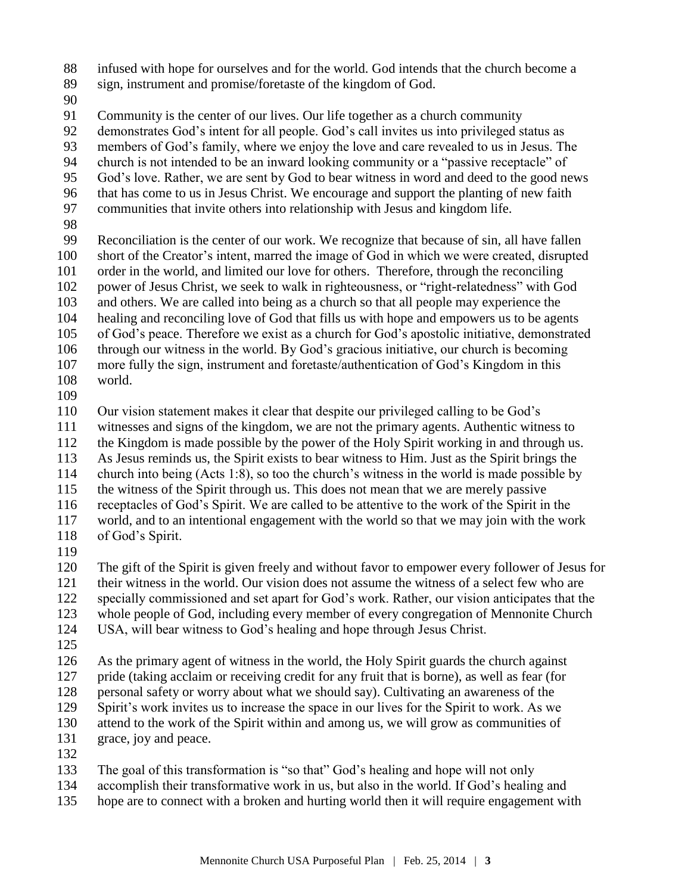- infused with hope for ourselves and for the world. God intends that the church become a
- sign, instrument and promise/foretaste of the kingdom of God.
- 

Community is the center of our lives. Our life together as a church community

- demonstrates God's intent for all people. God's call invites us into privileged status as
- members of God's family, where we enjoy the love and care revealed to us in Jesus. The
- church is not intended to be an inward looking community or a "passive receptacle" of
- God's love. Rather, we are sent by God to bear witness in word and deed to the good news
- that has come to us in Jesus Christ. We encourage and support the planting of new faith
- communities that invite others into relationship with Jesus and kingdom life.
- 

 Reconciliation is the center of our work. We recognize that because of sin, all have fallen short of the Creator's intent, marred the image of God in which we were created, disrupted order in the world, and limited our love for others. Therefore, through the reconciling power of Jesus Christ, we seek to walk in righteousness, or "right-relatedness" with God and others. We are called into being as a church so that all people may experience the healing and reconciling love of God that fills us with hope and empowers us to be agents of God's peace. Therefore we exist as a church for God's apostolic initiative, demonstrated through our witness in the world. By God's gracious initiative, our church is becoming more fully the sign, instrument and foretaste/authentication of God's Kingdom in this world.

Our vision statement makes it clear that despite our privileged calling to be God's

- witnesses and signs of the kingdom, we are not the primary agents. Authentic witness to
- the Kingdom is made possible by the power of the Holy Spirit working in and through us.
- As Jesus reminds us, the Spirit exists to bear witness to Him. Just as the Spirit brings the
- church into being (Acts 1:8), so too the church's witness in the world is made possible by
- the witness of the Spirit through us. This does not mean that we are merely passive
- receptacles of God's Spirit. We are called to be attentive to the work of the Spirit in the
- world, and to an intentional engagement with the world so that we may join with the work of God's Spirit.
- 

 The gift of the Spirit is given freely and without favor to empower every follower of Jesus for their witness in the world. Our vision does not assume the witness of a select few who are specially commissioned and set apart for God's work. Rather, our vision anticipates that the whole people of God, including every member of every congregation of Mennonite Church

- USA, will bear witness to God's healing and hope through Jesus Christ.
- 

 As the primary agent of witness in the world, the Holy Spirit guards the church against pride (taking acclaim or receiving credit for any fruit that is borne), as well as fear (for personal safety or worry about what we should say). Cultivating an awareness of the Spirit's work invites us to increase the space in our lives for the Spirit to work. As we

- attend to the work of the Spirit within and among us, we will grow as communities of grace, joy and peace.
- 

The goal of this transformation is "so that" God's healing and hope will not only

- accomplish their transformative work in us, but also in the world. If God's healing and
- hope are to connect with a broken and hurting world then it will require engagement with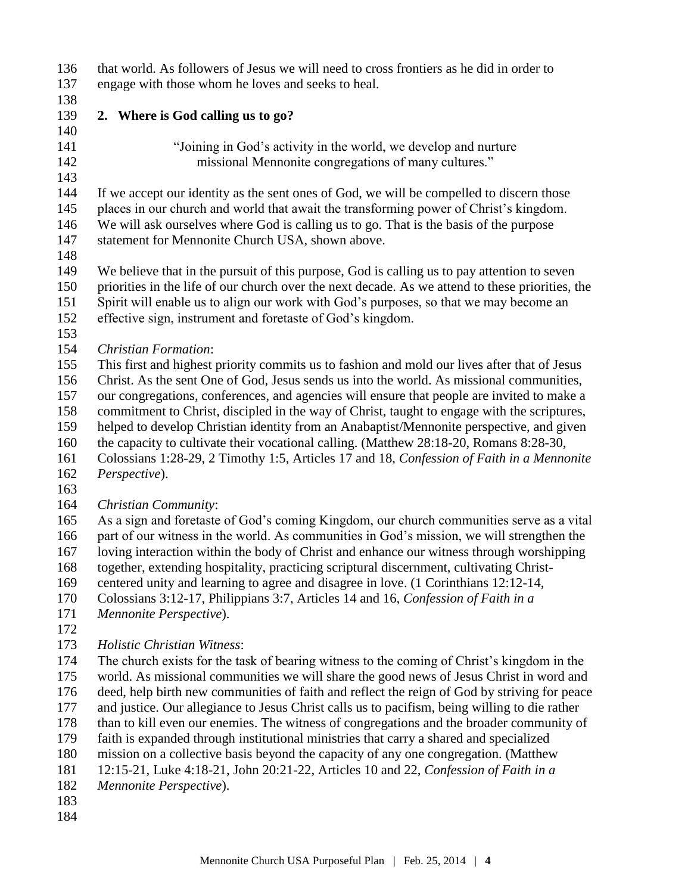| 136        | that world. As followers of Jesus we will need to cross frontiers as he did in order to                                                                                            |
|------------|------------------------------------------------------------------------------------------------------------------------------------------------------------------------------------|
| 137        | engage with those whom he loves and seeks to heal.                                                                                                                                 |
| 138        |                                                                                                                                                                                    |
| 139        | 2. Where is God calling us to go?                                                                                                                                                  |
| 140        |                                                                                                                                                                                    |
| 141        | "Joining in God's activity in the world, we develop and nurture                                                                                                                    |
| 142        | missional Mennonite congregations of many cultures."                                                                                                                               |
| 143        |                                                                                                                                                                                    |
| 144        | If we accept our identity as the sent ones of God, we will be compelled to discern those                                                                                           |
| 145        | places in our church and world that await the transforming power of Christ's kingdom.                                                                                              |
| 146        | We will ask ourselves where God is calling us to go. That is the basis of the purpose                                                                                              |
| 147        | statement for Mennonite Church USA, shown above.                                                                                                                                   |
| 148        |                                                                                                                                                                                    |
| 149        | We believe that in the pursuit of this purpose, God is calling us to pay attention to seven                                                                                        |
| 150<br>151 | priorities in the life of our church over the next decade. As we attend to these priorities, the                                                                                   |
| 152        | Spirit will enable us to align our work with God's purposes, so that we may become an<br>effective sign, instrument and foretaste of God's kingdom.                                |
| 153        |                                                                                                                                                                                    |
| 154        | <b>Christian Formation:</b>                                                                                                                                                        |
| 155        | This first and highest priority commits us to fashion and mold our lives after that of Jesus                                                                                       |
| 156        | Christ. As the sent One of God, Jesus sends us into the world. As missional communities,                                                                                           |
| 157        | our congregations, conferences, and agencies will ensure that people are invited to make a                                                                                         |
| 158        | commitment to Christ, discipled in the way of Christ, taught to engage with the scriptures,                                                                                        |
| 159        | helped to develop Christian identity from an Anabaptist/Mennonite perspective, and given                                                                                           |
| 160        | the capacity to cultivate their vocational calling. (Matthew 28:18-20, Romans 8:28-30,                                                                                             |
| 161        | Colossians 1:28-29, 2 Timothy 1:5, Articles 17 and 18, Confession of Faith in a Mennonite                                                                                          |
| 162        | Perspective).                                                                                                                                                                      |
| 163        |                                                                                                                                                                                    |
| 164        | Christian Community:                                                                                                                                                               |
| 165        | As a sign and foretaste of God's coming Kingdom, our church communities serve as a vital                                                                                           |
| 166        | part of our witness in the world. As communities in God's mission, we will strengthen the                                                                                          |
| 167        | loving interaction within the body of Christ and enhance our witness through worshipping                                                                                           |
| 168        | together, extending hospitality, practicing scriptural discernment, cultivating Christ-                                                                                            |
| 169        | centered unity and learning to agree and disagree in love. (1 Corinthians 12:12-14,                                                                                                |
| 170        | Colossians 3:12-17, Philippians 3:7, Articles 14 and 16, Confession of Faith in a                                                                                                  |
| 171        | Mennonite Perspective).                                                                                                                                                            |
| 172        |                                                                                                                                                                                    |
| 173        | <b>Holistic Christian Witness:</b>                                                                                                                                                 |
| 174        | The church exists for the task of bearing witness to the coming of Christ's kingdom in the                                                                                         |
| 175        | world. As missional communities we will share the good news of Jesus Christ in word and                                                                                            |
| 176        | deed, help birth new communities of faith and reflect the reign of God by striving for peace                                                                                       |
| 177<br>178 | and justice. Our allegiance to Jesus Christ calls us to pacifism, being willing to die rather                                                                                      |
| 179        | than to kill even our enemies. The witness of congregations and the broader community of<br>faith is expanded through institutional ministries that carry a shared and specialized |
| 180        | mission on a collective basis beyond the capacity of any one congregation. (Matthew                                                                                                |
|            |                                                                                                                                                                                    |

- 12:15-21, Luke 4:18-21, John 20:21-22, Articles 10 and 22, *Confession of Faith in a*
- *Mennonite Perspective*).
- 
-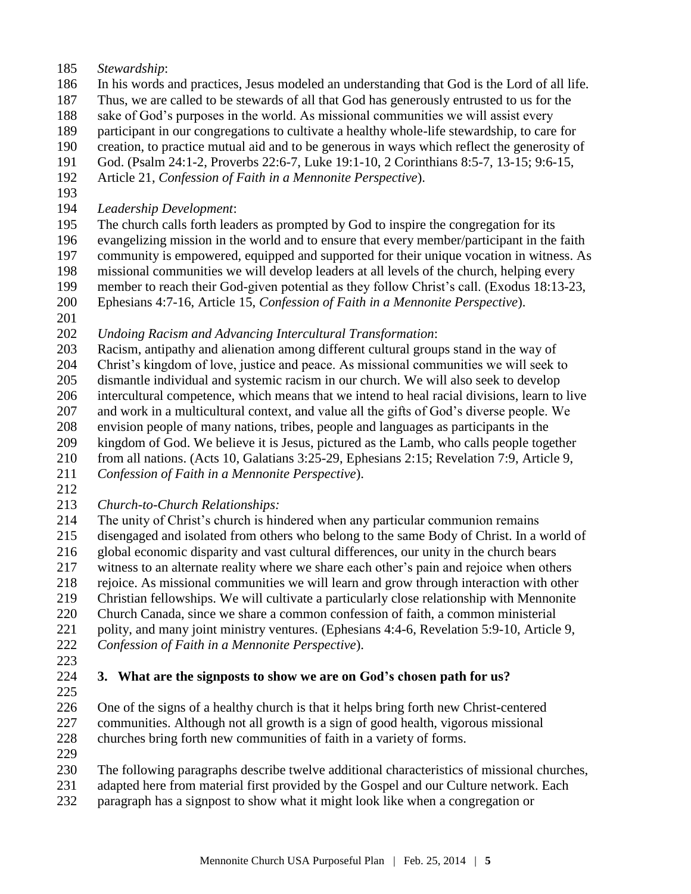- *Stewardship*:
- In his words and practices, Jesus modeled an understanding that God is the Lord of all life.
- Thus, we are called to be stewards of all that God has generously entrusted to us for the
- sake of God's purposes in the world. As missional communities we will assist every
- participant in our congregations to cultivate a healthy whole-life stewardship, to care for
- creation, to practice mutual aid and to be generous in ways which reflect the generosity of
- God. (Psalm 24:1-2, Proverbs 22:6-7, Luke 19:1-10, 2 Corinthians 8:5-7, 13-15; 9:6-15,
- Article 21, *Confession of Faith in a Mennonite Perspective*).
- 
- *Leadership Development*:
- The church calls forth leaders as prompted by God to inspire the congregation for its evangelizing mission in the world and to ensure that every member/participant in the faith
- community is empowered, equipped and supported for their unique vocation in witness. As
- missional communities we will develop leaders at all levels of the church, helping every
- member to reach their God-given potential as they follow Christ's call. (Exodus 18:13-23,
- Ephesians 4:7-16, Article 15, *Confession of Faith in a Mennonite Perspective*).
- 

*Undoing Racism and Advancing Intercultural Transformation*:

- Racism, antipathy and alienation among different cultural groups stand in the way of
- Christ's kingdom of love, justice and peace. As missional communities we will seek to
- dismantle individual and systemic racism in our church. We will also seek to develop intercultural competence, which means that we intend to heal racial divisions, learn to live
- and work in a multicultural context, and value all the gifts of God's diverse people. We
- envision people of many nations, tribes, people and languages as participants in the
- kingdom of God. We believe it is Jesus, pictured as the Lamb, who calls people together
- from all nations. (Acts 10, Galatians 3:25-29, Ephesians 2:15; Revelation 7:9, Article 9,
- *Confession of Faith in a Mennonite Perspective*).
- 
- *Church-to-Church Relationships:*
- The unity of Christ's church is hindered when any particular communion remains disengaged and isolated from others who belong to the same Body of Christ. In a world of global economic disparity and vast cultural differences, our unity in the church bears witness to an alternate reality where we share each other's pain and rejoice when others rejoice. As missional communities we will learn and grow through interaction with other Christian fellowships. We will cultivate a particularly close relationship with Mennonite Church Canada, since we share a common confession of faith, a common ministerial polity, and many joint ministry ventures. (Ephesians 4:4-6, Revelation 5:9-10, Article 9,
- *Confession of Faith in a Mennonite Perspective*).
- 
- 
- **3. What are the signposts to show we are on God's chosen path for us?**
- 
- One of the signs of a healthy church is that it helps bring forth new Christ-centered communities. Although not all growth is a sign of good health, vigorous missional churches bring forth new communities of faith in a variety of forms.
- 

The following paragraphs describe twelve additional characteristics of missional churches,

- adapted here from material first provided by the Gospel and our Culture network. Each
- paragraph has a signpost to show what it might look like when a congregation or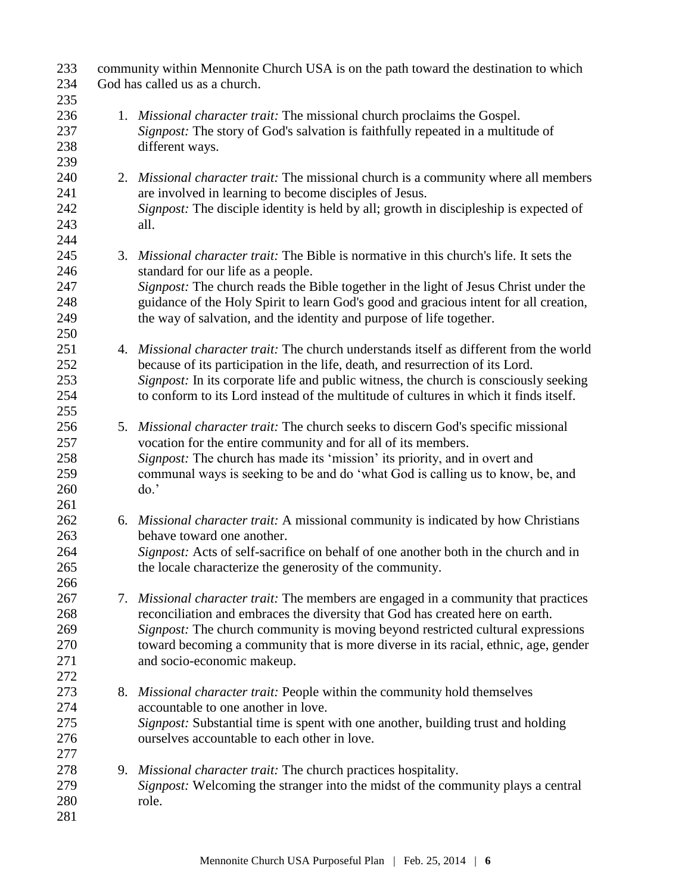| 233 | community within Mennonite Church USA is on the path toward the destination to which |                                                                                         |  |
|-----|--------------------------------------------------------------------------------------|-----------------------------------------------------------------------------------------|--|
| 234 | God has called us as a church.                                                       |                                                                                         |  |
| 235 |                                                                                      |                                                                                         |  |
| 236 |                                                                                      | 1. <i>Missional character trait:</i> The missional church proclaims the Gospel.         |  |
| 237 |                                                                                      | Signpost: The story of God's salvation is faithfully repeated in a multitude of         |  |
| 238 |                                                                                      | different ways.                                                                         |  |
| 239 |                                                                                      |                                                                                         |  |
| 240 |                                                                                      | 2. Missional character trait: The missional church is a community where all members     |  |
| 241 |                                                                                      | are involved in learning to become disciples of Jesus.                                  |  |
| 242 |                                                                                      | Signpost: The disciple identity is held by all; growth in discipleship is expected of   |  |
| 243 |                                                                                      | all.                                                                                    |  |
| 244 |                                                                                      |                                                                                         |  |
| 245 |                                                                                      | 3. Missional character trait: The Bible is normative in this church's life. It sets the |  |
| 246 |                                                                                      | standard for our life as a people.                                                      |  |
| 247 |                                                                                      | Signpost: The church reads the Bible together in the light of Jesus Christ under the    |  |
| 248 |                                                                                      | guidance of the Holy Spirit to learn God's good and gracious intent for all creation,   |  |
| 249 |                                                                                      | the way of salvation, and the identity and purpose of life together.                    |  |
| 250 |                                                                                      |                                                                                         |  |
| 251 |                                                                                      | 4. Missional character trait: The church understands itself as different from the world |  |
| 252 |                                                                                      | because of its participation in the life, death, and resurrection of its Lord.          |  |
| 253 |                                                                                      | Signpost: In its corporate life and public witness, the church is consciously seeking   |  |
| 254 |                                                                                      | to conform to its Lord instead of the multitude of cultures in which it finds itself.   |  |
| 255 |                                                                                      |                                                                                         |  |
| 256 |                                                                                      | 5. Missional character trait: The church seeks to discern God's specific missional      |  |
| 257 |                                                                                      | vocation for the entire community and for all of its members.                           |  |
| 258 |                                                                                      | Signpost: The church has made its 'mission' its priority, and in overt and              |  |
| 259 |                                                                                      | communal ways is seeking to be and do 'what God is calling us to know, be, and          |  |
| 260 |                                                                                      | do.                                                                                     |  |
| 261 |                                                                                      |                                                                                         |  |
| 262 |                                                                                      | 6. Missional character trait: A missional community is indicated by how Christians      |  |
| 263 |                                                                                      | behave toward one another.                                                              |  |
| 264 |                                                                                      | Signpost: Acts of self-sacrifice on behalf of one another both in the church and in     |  |
| 265 |                                                                                      | the locale characterize the generosity of the community.                                |  |
| 266 |                                                                                      |                                                                                         |  |
| 267 |                                                                                      | 7. Missional character trait: The members are engaged in a community that practices     |  |
| 268 |                                                                                      | reconciliation and embraces the diversity that God has created here on earth.           |  |
| 269 |                                                                                      | Signpost: The church community is moving beyond restricted cultural expressions         |  |
| 270 |                                                                                      | toward becoming a community that is more diverse in its racial, ethnic, age, gender     |  |
| 271 |                                                                                      | and socio-economic makeup.                                                              |  |
| 272 |                                                                                      |                                                                                         |  |
| 273 |                                                                                      | 8. Missional character trait: People within the community hold themselves               |  |
| 274 |                                                                                      | accountable to one another in love.                                                     |  |
| 275 |                                                                                      | Signpost: Substantial time is spent with one another, building trust and holding        |  |
| 276 |                                                                                      | ourselves accountable to each other in love.                                            |  |
| 277 |                                                                                      |                                                                                         |  |
| 278 |                                                                                      | 9. Missional character trait: The church practices hospitality.                         |  |
| 279 |                                                                                      | Signpost: Welcoming the stranger into the midst of the community plays a central        |  |
| 280 |                                                                                      | role.                                                                                   |  |
| 281 |                                                                                      |                                                                                         |  |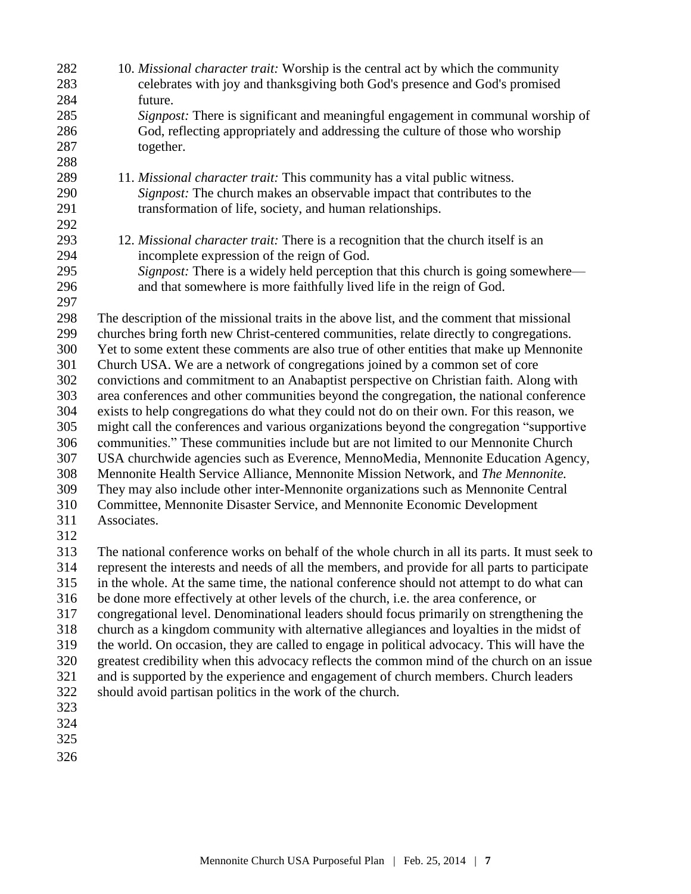| 282 | 10. Missional character trait: Worship is the central act by which the community               |
|-----|------------------------------------------------------------------------------------------------|
| 283 | celebrates with joy and thanksgiving both God's presence and God's promised                    |
| 284 | future.                                                                                        |
| 285 | Signpost: There is significant and meaningful engagement in communal worship of                |
| 286 | God, reflecting appropriately and addressing the culture of those who worship                  |
| 287 | together.                                                                                      |
| 288 |                                                                                                |
| 289 | 11. Missional character trait: This community has a vital public witness.                      |
| 290 | Signpost: The church makes an observable impact that contributes to the                        |
| 291 | transformation of life, society, and human relationships.                                      |
| 292 |                                                                                                |
| 293 | 12. Missional character trait: There is a recognition that the church itself is an             |
| 294 | incomplete expression of the reign of God.                                                     |
| 295 | Signpost: There is a widely held perception that this church is going somewhere-               |
| 296 | and that somewhere is more faithfully lived life in the reign of God.                          |
| 297 |                                                                                                |
| 298 | The description of the missional traits in the above list, and the comment that missional      |
| 299 | churches bring forth new Christ-centered communities, relate directly to congregations.        |
| 300 | Yet to some extent these comments are also true of other entities that make up Mennonite       |
| 301 | Church USA. We are a network of congregations joined by a common set of core                   |
| 302 | convictions and commitment to an Anabaptist perspective on Christian faith. Along with         |
| 303 | area conferences and other communities beyond the congregation, the national conference        |
| 304 | exists to help congregations do what they could not do on their own. For this reason, we       |
| 305 | might call the conferences and various organizations beyond the congregation "supportive       |
| 306 | communities." These communities include but are not limited to our Mennonite Church            |
| 307 | USA churchwide agencies such as Everence, MennoMedia, Mennonite Education Agency,              |
| 308 | Mennonite Health Service Alliance, Mennonite Mission Network, and The Mennonite.               |
| 309 | They may also include other inter-Mennonite organizations such as Mennonite Central            |
| 310 | Committee, Mennonite Disaster Service, and Mennonite Economic Development                      |
| 311 | Associates.                                                                                    |
| 312 |                                                                                                |
| 313 | The national conference works on behalf of the whole church in all its parts. It must seek to  |
| 314 | represent the interests and needs of all the members, and provide for all parts to participate |
| 315 | in the whole. At the same time, the national conference should not attempt to do what can      |
| 316 | be done more effectively at other levels of the church, i.e. the area conference, or           |
| 317 | congregational level. Denominational leaders should focus primarily on strengthening the       |
| 318 | church as a kingdom community with alternative allegiances and loyalties in the midst of       |
| 319 | the world. On occasion, they are called to engage in political advocacy. This will have the    |
| 320 | greatest credibility when this advocacy reflects the common mind of the church on an issue     |
| 321 | and is supported by the experience and engagement of church members. Church leaders            |
| 322 | should avoid partisan politics in the work of the church.                                      |
| 323 |                                                                                                |
| 324 |                                                                                                |
| 325 |                                                                                                |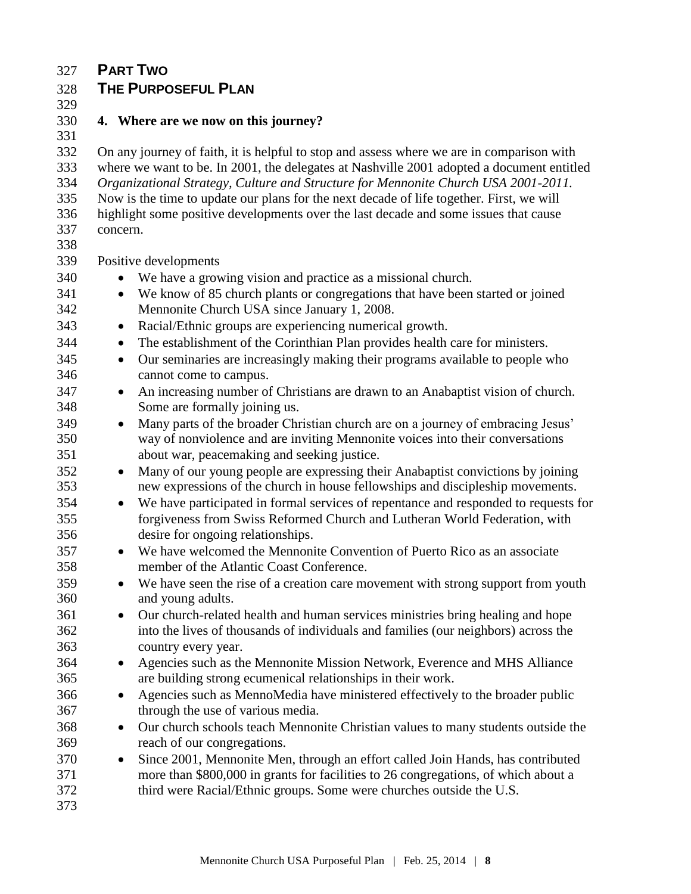## **PART TWO**

# **THE PURPOSEFUL PLAN**

## **4. Where are we now on this journey?**

 On any journey of faith, it is helpful to stop and assess where we are in comparison with where we want to be. In 2001, the delegates at Nashville 2001 adopted a document entitled *Organizational Strategy, Culture and Structure for Mennonite Church USA 2001-2011.* Now is the time to update our plans for the next decade of life together. First, we will highlight some positive developments over the last decade and some issues that cause concern. 

Positive developments

- We have a growing vision and practice as a missional church.
- We know of 85 church plants or congregations that have been started or joined Mennonite Church USA since January 1, 2008.
- Racial/Ethnic groups are experiencing numerical growth.
- The establishment of the Corinthian Plan provides health care for ministers.
- Our seminaries are increasingly making their programs available to people who cannot come to campus.
- 347 An increasing number of Christians are drawn to an Anabaptist vision of church. Some are formally joining us.
- Many parts of the broader Christian church are on a journey of embracing Jesus' way of nonviolence and are inviting Mennonite voices into their conversations about war, peacemaking and seeking justice.
- 352 Many of our young people are expressing their Anabaptist convictions by joining new expressions of the church in house fellowships and discipleship movements.
- We have participated in formal services of repentance and responded to requests for forgiveness from Swiss Reformed Church and Lutheran World Federation, with desire for ongoing relationships.
- We have welcomed the Mennonite Convention of Puerto Rico as an associate member of the Atlantic Coast Conference.
- 359 We have seen the rise of a creation care movement with strong support from youth and young adults.
- 361 Our church-related health and human services ministries bring healing and hope into the lives of thousands of individuals and families (our neighbors) across the country every year.
- 364 Agencies such as the Mennonite Mission Network, Everence and MHS Alliance are building strong ecumenical relationships in their work.
- Agencies such as MennoMedia have ministered effectively to the broader public through the use of various media.
- 368 Our church schools teach Mennonite Christian values to many students outside the reach of our congregations.
- 370 Since 2001, Mennonite Men, through an effort called Join Hands, has contributed more than \$800,000 in grants for facilities to 26 congregations, of which about a third were Racial/Ethnic groups. Some were churches outside the U.S.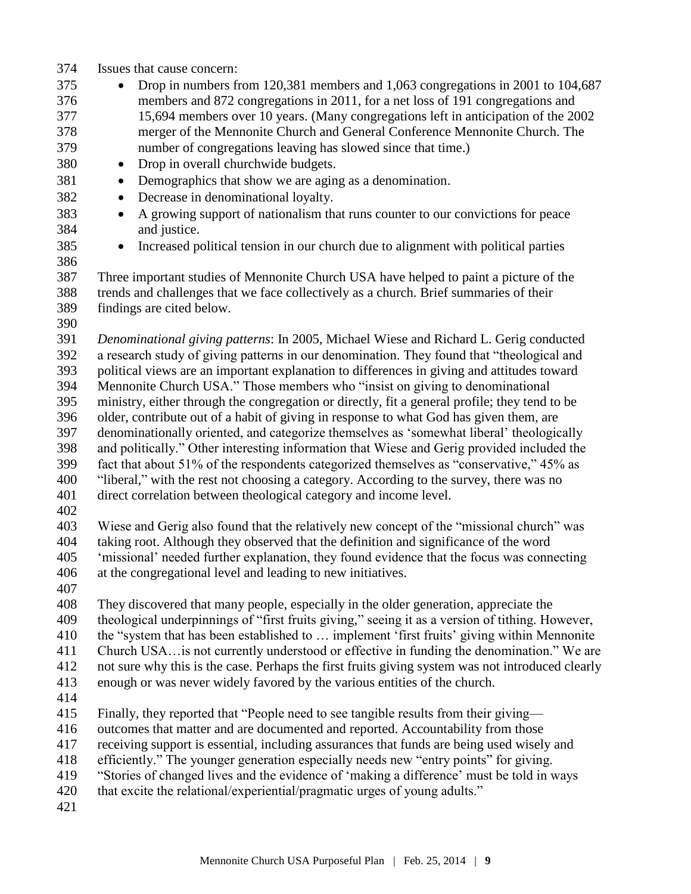- Issues that cause concern:
- 375 Drop in numbers from 120,381 members and 1,063 congregations in 2001 to 104,687 members and 872 congregations in 2011, for a net loss of 191 congregations and 15,694 members over 10 years. (Many congregations left in anticipation of the 2002 merger of the Mennonite Church and General Conference Mennonite Church. The number of congregations leaving has slowed since that time.)
- 380 Drop in overall churchwide budgets.
- 381 Demographics that show we are aging as a denomination.
- Decrease in denominational loyalty.
- A growing support of nationalism that runs counter to our convictions for peace and justice.
- 
- Increased political tension in our church due to alignment with political parties

 Three important studies of Mennonite Church USA have helped to paint a picture of the trends and challenges that we face collectively as a church. Brief summaries of their findings are cited below.

 *Denominational giving patterns*: In 2005, Michael Wiese and Richard L. Gerig conducted a research study of giving patterns in our denomination. They found that "theological and political views are an important explanation to differences in giving and attitudes toward Mennonite Church USA." Those members who "insist on giving to denominational ministry, either through the congregation or directly, fit a general profile; they tend to be older, contribute out of a habit of giving in response to what God has given them, are denominationally oriented, and categorize themselves as 'somewhat liberal' theologically and politically." Other interesting information that Wiese and Gerig provided included the fact that about 51% of the respondents categorized themselves as "conservative," 45% as "liberal," with the rest not choosing a category. According to the survey, there was no direct correlation between theological category and income level.

 Wiese and Gerig also found that the relatively new concept of the "missional church" was taking root. Although they observed that the definition and significance of the word 'missional' needed further explanation, they found evidence that the focus was connecting at the congregational level and leading to new initiatives.

 They discovered that many people, especially in the older generation, appreciate the theological underpinnings of "first fruits giving," seeing it as a version of tithing. However, the "system that has been established to … implement 'first fruits' giving within Mennonite Church USA…is not currently understood or effective in funding the denomination." We are not sure why this is the case. Perhaps the first fruits giving system was not introduced clearly enough or was never widely favored by the various entities of the church.

- 
- Finally, they reported that "People need to see tangible results from their giving—
- outcomes that matter and are documented and reported. Accountability from those
- receiving support is essential, including assurances that funds are being used wisely and
- efficiently." The younger generation especially needs new "entry points" for giving.
- "Stories of changed lives and the evidence of 'making a difference' must be told in ways
- 420 that excite the relational/experiential/pragmatic urges of young adults."
-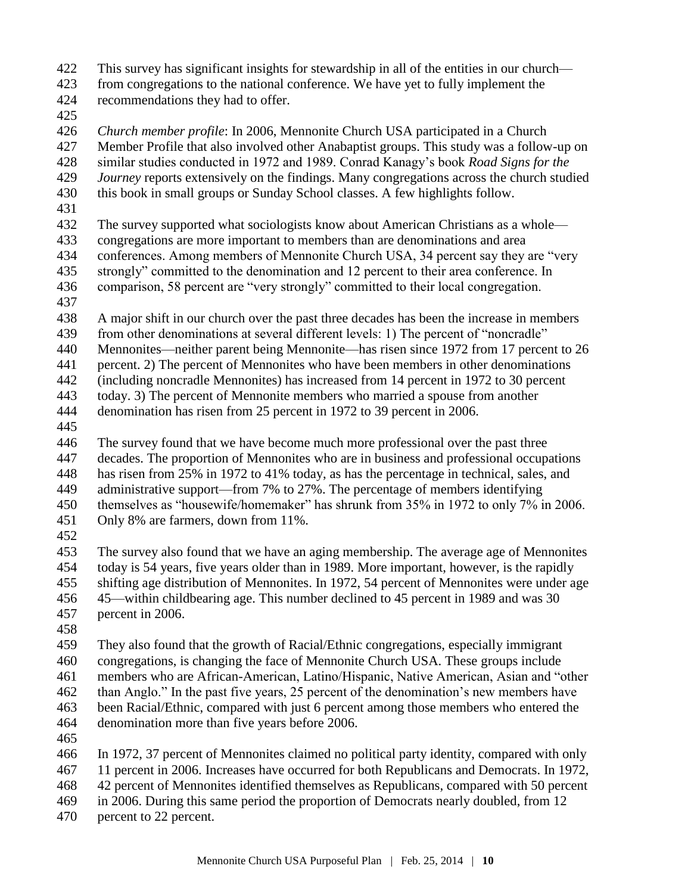- This survey has significant insights for stewardship in all of the entities in our church—
- from congregations to the national conference. We have yet to fully implement the recommendations they had to offer.
- 
- *Church member profile*: In 2006, Mennonite Church USA participated in a Church Member Profile that also involved other Anabaptist groups. This study was a follow-up on similar studies conducted in 1972 and 1989. Conrad Kanagy's book *Road Signs for the Journey* reports extensively on the findings. Many congregations across the church studied
- this book in small groups or Sunday School classes. A few highlights follow.
- 
- The survey supported what sociologists know about American Christians as a whole—
- congregations are more important to members than are denominations and area
- conferences. Among members of Mennonite Church USA, 34 percent say they are "very strongly" committed to the denomination and 12 percent to their area conference. In
- comparison, 58 percent are "very strongly" committed to their local congregation.
- 
- A major shift in our church over the past three decades has been the increase in members
- 439 from other denominations at several different levels: 1) The percent of "noncradle"
- Mennonites—neither parent being Mennonite—has risen since 1972 from 17 percent to 26
- percent. 2) The percent of Mennonites who have been members in other denominations
- (including noncradle Mennonites) has increased from 14 percent in 1972 to 30 percent today. 3) The percent of Mennonite members who married a spouse from another
- denomination has risen from 25 percent in 1972 to 39 percent in 2006.
- 

 The survey found that we have become much more professional over the past three decades. The proportion of Mennonites who are in business and professional occupations has risen from 25% in 1972 to 41% today, as has the percentage in technical, sales, and administrative support—from 7% to 27%. The percentage of members identifying themselves as "housewife/homemaker" has shrunk from 35% in 1972 to only 7% in 2006.

- Only 8% are farmers, down from 11%.
- 

 The survey also found that we have an aging membership. The average age of Mennonites today is 54 years, five years older than in 1989. More important, however, is the rapidly shifting age distribution of Mennonites. In 1972, 54 percent of Mennonites were under age 45—within childbearing age. This number declined to 45 percent in 1989 and was 30 percent in 2006.

 They also found that the growth of Racial/Ethnic congregations, especially immigrant congregations, is changing the face of Mennonite Church USA. These groups include members who are African-American, Latino/Hispanic, Native American, Asian and "other than Anglo." In the past five years, 25 percent of the denomination's new members have been Racial/Ethnic, compared with just 6 percent among those members who entered the denomination more than five years before 2006.

 In 1972, 37 percent of Mennonites claimed no political party identity, compared with only 11 percent in 2006. Increases have occurred for both Republicans and Democrats. In 1972, 42 percent of Mennonites identified themselves as Republicans, compared with 50 percent

- in 2006. During this same period the proportion of Democrats nearly doubled, from 12
- percent to 22 percent.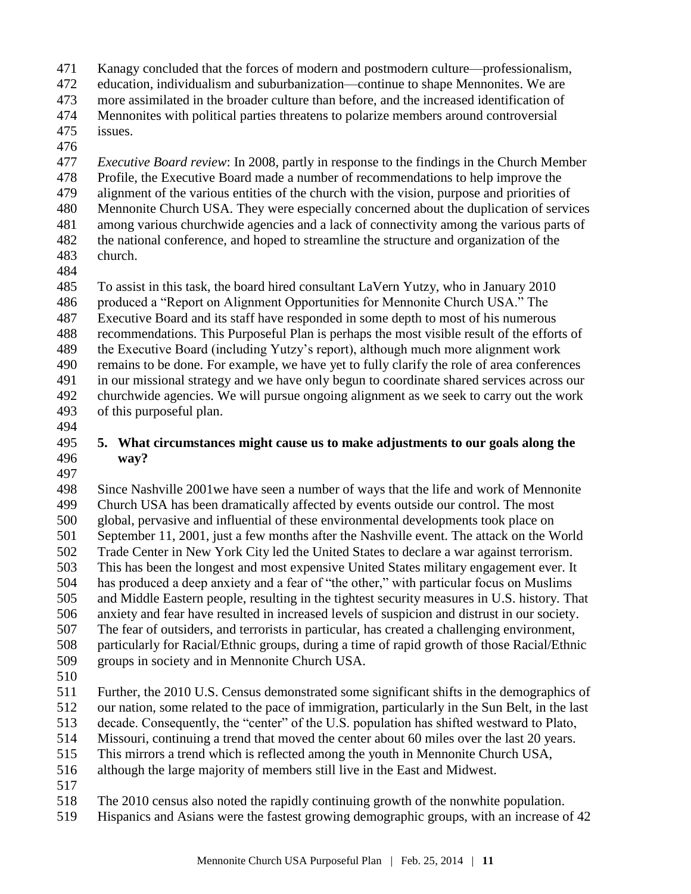Kanagy concluded that the forces of modern and postmodern culture—professionalism,

education, individualism and suburbanization—continue to shape Mennonites. We are

- more assimilated in the broader culture than before, and the increased identification of
- Mennonites with political parties threatens to polarize members around controversial
- issues.
- 

 *Executive Board review*: In 2008, partly in response to the findings in the Church Member Profile, the Executive Board made a number of recommendations to help improve the alignment of the various entities of the church with the vision, purpose and priorities of Mennonite Church USA. They were especially concerned about the duplication of services among various churchwide agencies and a lack of connectivity among the various parts of the national conference, and hoped to streamline the structure and organization of the church.

 To assist in this task, the board hired consultant LaVern Yutzy, who in January 2010 produced a "Report on Alignment Opportunities for Mennonite Church USA." The Executive Board and its staff have responded in some depth to most of his numerous recommendations. This Purposeful Plan is perhaps the most visible result of the efforts of the Executive Board (including Yutzy's report), although much more alignment work remains to be done. For example, we have yet to fully clarify the role of area conferences in our missional strategy and we have only begun to coordinate shared services across our churchwide agencies. We will pursue ongoing alignment as we seek to carry out the work of this purposeful plan.

## **5. What circumstances might cause us to make adjustments to our goals along the way?**

 Since Nashville 2001we have seen a number of ways that the life and work of Mennonite Church USA has been dramatically affected by events outside our control. The most global, pervasive and influential of these environmental developments took place on September 11, 2001, just a few months after the Nashville event. The attack on the World Trade Center in New York City led the United States to declare a war against terrorism. This has been the longest and most expensive United States military engagement ever. It has produced a deep anxiety and a fear of "the other," with particular focus on Muslims and Middle Eastern people, resulting in the tightest security measures in U.S. history. That anxiety and fear have resulted in increased levels of suspicion and distrust in our society. The fear of outsiders, and terrorists in particular, has created a challenging environment, particularly for Racial/Ethnic groups, during a time of rapid growth of those Racial/Ethnic groups in society and in Mennonite Church USA.

 Further, the 2010 U.S. Census demonstrated some significant shifts in the demographics of our nation, some related to the pace of immigration, particularly in the Sun Belt, in the last decade. Consequently, the "center" of the U.S. population has shifted westward to Plato, Missouri, continuing a trend that moved the center about 60 miles over the last 20 years.

This mirrors a trend which is reflected among the youth in Mennonite Church USA,

although the large majority of members still live in the East and Midwest.

The 2010 census also noted the rapidly continuing growth of the nonwhite population.

Hispanics and Asians were the fastest growing demographic groups, with an increase of 42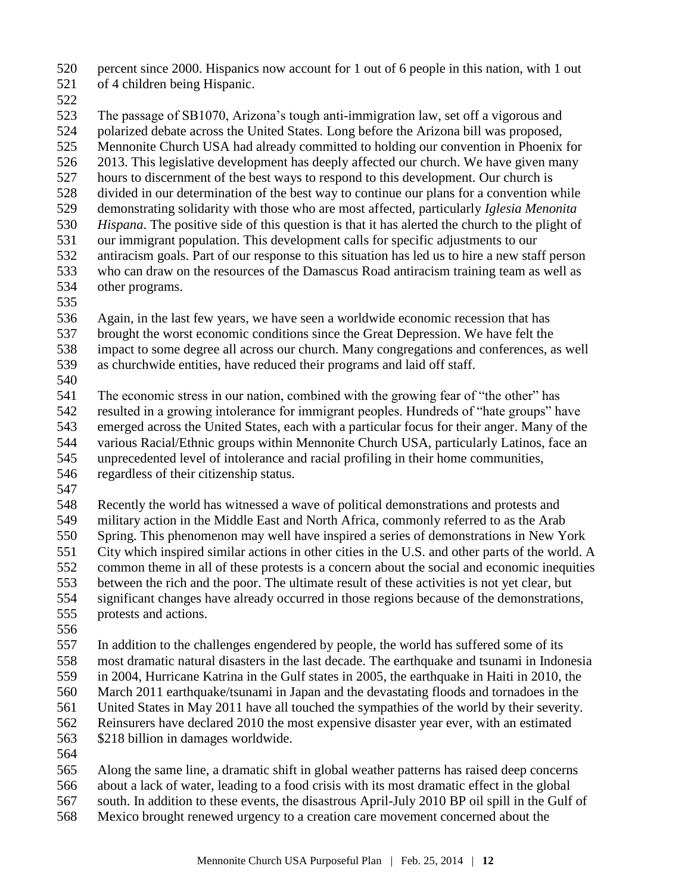percent since 2000. Hispanics now account for 1 out of 6 people in this nation, with 1 out of 4 children being Hispanic.

 The passage of SB1070, Arizona's tough anti-immigration law, set off a vigorous and polarized debate across the United States. Long before the Arizona bill was proposed, Mennonite Church USA had already committed to holding our convention in Phoenix for 2013. This legislative development has deeply affected our church. We have given many hours to discernment of the best ways to respond to this development. Our church is divided in our determination of the best way to continue our plans for a convention while demonstrating solidarity with those who are most affected, particularly *Iglesia Menonita Hispana*. The positive side of this question is that it has alerted the church to the plight of our immigrant population. This development calls for specific adjustments to our antiracism goals. Part of our response to this situation has led us to hire a new staff person who can draw on the resources of the Damascus Road antiracism training team as well as other programs.

Again, in the last few years, we have seen a worldwide economic recession that has

brought the worst economic conditions since the Great Depression. We have felt the

impact to some degree all across our church. Many congregations and conferences, as well

as churchwide entities, have reduced their programs and laid off staff.

 The economic stress in our nation, combined with the growing fear of "the other" has resulted in a growing intolerance for immigrant peoples. Hundreds of "hate groups" have emerged across the United States, each with a particular focus for their anger. Many of the various Racial/Ethnic groups within Mennonite Church USA, particularly Latinos, face an unprecedented level of intolerance and racial profiling in their home communities,

- regardless of their citizenship status.
- 

 Recently the world has witnessed a wave of political demonstrations and protests and military action in the Middle East and North Africa, commonly referred to as the Arab Spring. This phenomenon may well have inspired a series of demonstrations in New York City which inspired similar actions in other cities in the U.S. and other parts of the world. A common theme in all of these protests is a concern about the social and economic inequities between the rich and the poor. The ultimate result of these activities is not yet clear, but significant changes have already occurred in those regions because of the demonstrations, protests and actions.

 In addition to the challenges engendered by people, the world has suffered some of its most dramatic natural disasters in the last decade. The earthquake and tsunami in Indonesia in 2004, Hurricane Katrina in the Gulf states in 2005, the earthquake in Haiti in 2010, the March 2011 earthquake/tsunami in Japan and the devastating floods and tornadoes in the United States in May 2011 have all touched the sympathies of the world by their severity. Reinsurers have declared 2010 the most expensive disaster year ever, with an estimated \$218 billion in damages worldwide.

 Along the same line, a dramatic shift in global weather patterns has raised deep concerns about a lack of water, leading to a food crisis with its most dramatic effect in the global

south. In addition to these events, the disastrous April-July 2010 BP oil spill in the Gulf of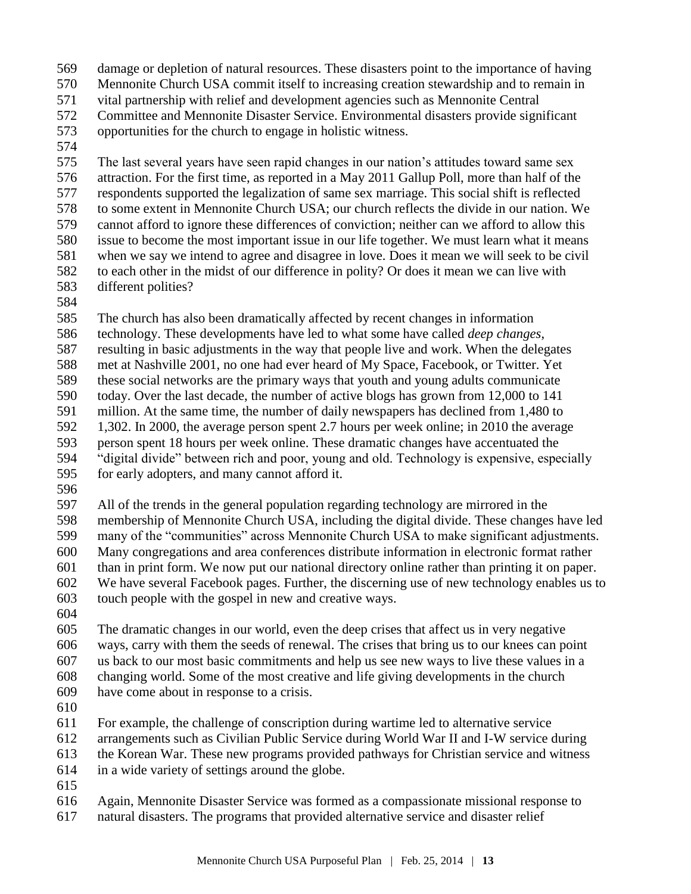- damage or depletion of natural resources. These disasters point to the importance of having Mennonite Church USA commit itself to increasing creation stewardship and to remain in vital partnership with relief and development agencies such as Mennonite Central Committee and Mennonite Disaster Service. Environmental disasters provide significant opportunities for the church to engage in holistic witness.
- 

 The last several years have seen rapid changes in our nation's attitudes toward same sex attraction. For the first time, as reported in a May 2011 Gallup Poll, more than half of the respondents supported the legalization of same sex marriage. This social shift is reflected to some extent in Mennonite Church USA; our church reflects the divide in our nation. We cannot afford to ignore these differences of conviction; neither can we afford to allow this issue to become the most important issue in our life together. We must learn what it means when we say we intend to agree and disagree in love. Does it mean we will seek to be civil to each other in the midst of our difference in polity? Or does it mean we can live with different polities?

The church has also been dramatically affected by recent changes in information

 technology. These developments have led to what some have called *deep changes*, resulting in basic adjustments in the way that people live and work. When the delegates met at Nashville 2001, no one had ever heard of My Space, Facebook, or Twitter. Yet these social networks are the primary ways that youth and young adults communicate today. Over the last decade, the number of active blogs has grown from 12,000 to 141 million. At the same time, the number of daily newspapers has declined from 1,480 to 1,302. In 2000, the average person spent 2.7 hours per week online; in 2010 the average person spent 18 hours per week online. These dramatic changes have accentuated the "digital divide" between rich and poor, young and old. Technology is expensive, especially for early adopters, and many cannot afford it.

 All of the trends in the general population regarding technology are mirrored in the membership of Mennonite Church USA, including the digital divide. These changes have led many of the "communities" across Mennonite Church USA to make significant adjustments. Many congregations and area conferences distribute information in electronic format rather than in print form. We now put our national directory online rather than printing it on paper. We have several Facebook pages. Further, the discerning use of new technology enables us to touch people with the gospel in new and creative ways.

 The dramatic changes in our world, even the deep crises that affect us in very negative ways, carry with them the seeds of renewal. The crises that bring us to our knees can point us back to our most basic commitments and help us see new ways to live these values in a changing world. Some of the most creative and life giving developments in the church have come about in response to a crisis.

For example, the challenge of conscription during wartime led to alternative service

arrangements such as Civilian Public Service during World War II and I-W service during

the Korean War. These new programs provided pathways for Christian service and witness

- in a wide variety of settings around the globe.
- 

Again, Mennonite Disaster Service was formed as a compassionate missional response to

natural disasters. The programs that provided alternative service and disaster relief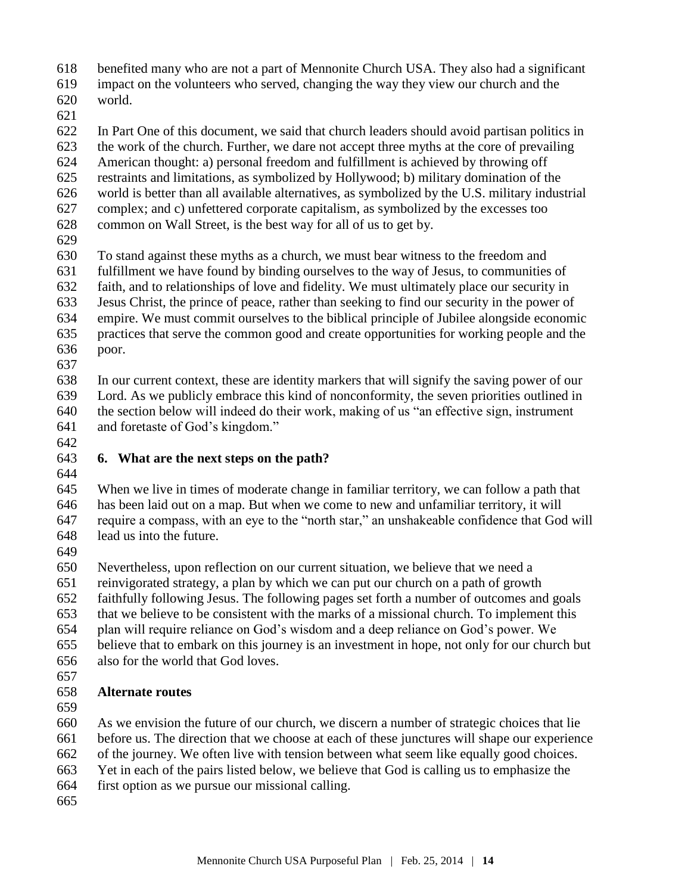benefited many who are not a part of Mennonite Church USA. They also had a significant

impact on the volunteers who served, changing the way they view our church and the

 world. 

 In Part One of this document, we said that church leaders should avoid partisan politics in the work of the church. Further, we dare not accept three myths at the core of prevailing American thought: a) personal freedom and fulfillment is achieved by throwing off restraints and limitations, as symbolized by Hollywood; b) military domination of the world is better than all available alternatives, as symbolized by the U.S. military industrial

complex; and c) unfettered corporate capitalism, as symbolized by the excesses too

common on Wall Street, is the best way for all of us to get by.

To stand against these myths as a church, we must bear witness to the freedom and

fulfillment we have found by binding ourselves to the way of Jesus, to communities of

faith, and to relationships of love and fidelity. We must ultimately place our security in

 Jesus Christ, the prince of peace, rather than seeking to find our security in the power of empire. We must commit ourselves to the biblical principle of Jubilee alongside economic

- practices that serve the common good and create opportunities for working people and the poor.
- 

 In our current context, these are identity markers that will signify the saving power of our Lord. As we publicly embrace this kind of nonconformity, the seven priorities outlined in the section below will indeed do their work, making of us "an effective sign, instrument and foretaste of God's kingdom."

#### **6. What are the next steps on the path?**

 When we live in times of moderate change in familiar territory, we can follow a path that has been laid out on a map. But when we come to new and unfamiliar territory, it will require a compass, with an eye to the "north star," an unshakeable confidence that God will lead us into the future.

Nevertheless, upon reflection on our current situation, we believe that we need a

reinvigorated strategy, a plan by which we can put our church on a path of growth

faithfully following Jesus. The following pages set forth a number of outcomes and goals

that we believe to be consistent with the marks of a missional church. To implement this

plan will require reliance on God's wisdom and a deep reliance on God's power. We

- believe that to embark on this journey is an investment in hope, not only for our church but
- also for the world that God loves.
- 

# **Alternate routes**

As we envision the future of our church, we discern a number of strategic choices that lie

 before us. The direction that we choose at each of these junctures will shape our experience of the journey. We often live with tension between what seem like equally good choices.

Yet in each of the pairs listed below, we believe that God is calling us to emphasize the

first option as we pursue our missional calling.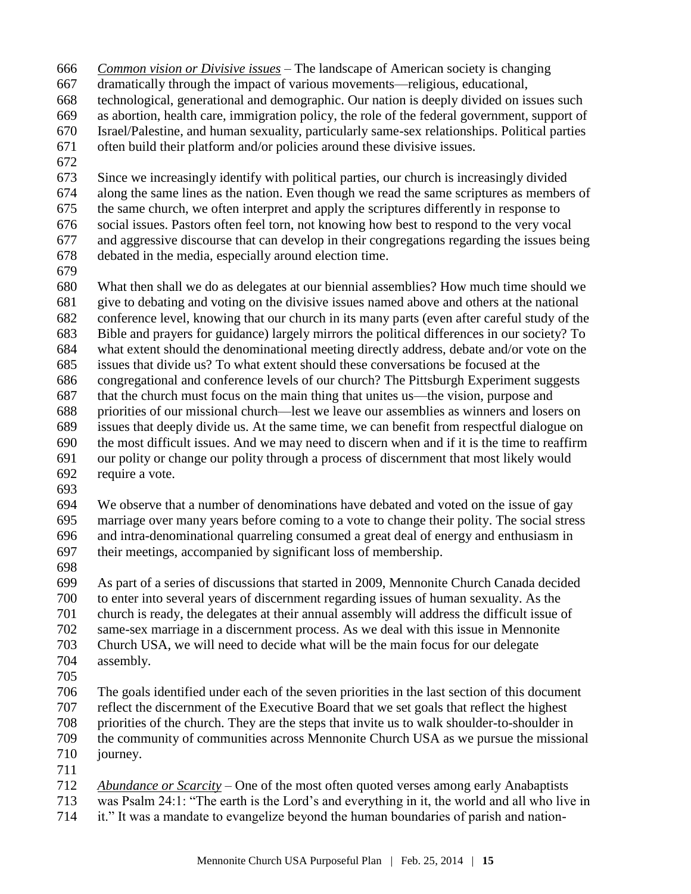- *Common vision or Divisive issues –* The landscape of American society is changing
- dramatically through the impact of various movements—religious, educational,
- technological, generational and demographic. Our nation is deeply divided on issues such
- as abortion, health care, immigration policy, the role of the federal government, support of
- Israel/Palestine, and human sexuality, particularly same-sex relationships. Political parties
- often build their platform and/or policies around these divisive issues.
- 

 Since we increasingly identify with political parties, our church is increasingly divided along the same lines as the nation. Even though we read the same scriptures as members of the same church, we often interpret and apply the scriptures differently in response to social issues. Pastors often feel torn, not knowing how best to respond to the very vocal and aggressive discourse that can develop in their congregations regarding the issues being debated in the media, especially around election time.

 What then shall we do as delegates at our biennial assemblies? How much time should we give to debating and voting on the divisive issues named above and others at the national conference level, knowing that our church in its many parts (even after careful study of the Bible and prayers for guidance) largely mirrors the political differences in our society? To what extent should the denominational meeting directly address, debate and/or vote on the issues that divide us? To what extent should these conversations be focused at the congregational and conference levels of our church? The Pittsburgh Experiment suggests that the church must focus on the main thing that unites us—the vision, purpose and priorities of our missional church—lest we leave our assemblies as winners and losers on issues that deeply divide us. At the same time, we can benefit from respectful dialogue on the most difficult issues. And we may need to discern when and if it is the time to reaffirm our polity or change our polity through a process of discernment that most likely would require a vote.

 We observe that a number of denominations have debated and voted on the issue of gay marriage over many years before coming to a vote to change their polity. The social stress and intra-denominational quarreling consumed a great deal of energy and enthusiasm in their meetings, accompanied by significant loss of membership.

 As part of a series of discussions that started in 2009, Mennonite Church Canada decided to enter into several years of discernment regarding issues of human sexuality. As the church is ready, the delegates at their annual assembly will address the difficult issue of same-sex marriage in a discernment process. As we deal with this issue in Mennonite Church USA, we will need to decide what will be the main focus for our delegate assembly.

 The goals identified under each of the seven priorities in the last section of this document reflect the discernment of the Executive Board that we set goals that reflect the highest priorities of the church. They are the steps that invite us to walk shoulder-to-shoulder in the community of communities across Mennonite Church USA as we pursue the missional journey.

*Abundance or Scarcity* – One of the most often quoted verses among early Anabaptists

was Psalm 24:1: "The earth is the Lord's and everything in it, the world and all who live in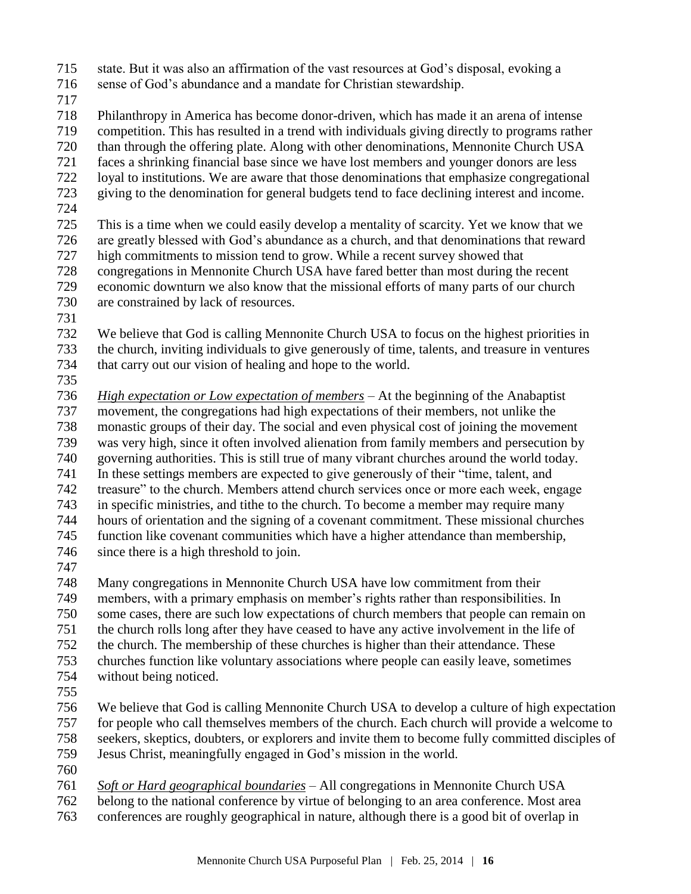- state. But it was also an affirmation of the vast resources at God's disposal, evoking a
- sense of God's abundance and a mandate for Christian stewardship.
- 

 Philanthropy in America has become donor-driven, which has made it an arena of intense competition. This has resulted in a trend with individuals giving directly to programs rather than through the offering plate. Along with other denominations, Mennonite Church USA faces a shrinking financial base since we have lost members and younger donors are less loyal to institutions. We are aware that those denominations that emphasize congregational

- giving to the denomination for general budgets tend to face declining interest and income.
- 

 This is a time when we could easily develop a mentality of scarcity. Yet we know that we are greatly blessed with God's abundance as a church, and that denominations that reward high commitments to mission tend to grow. While a recent survey showed that congregations in Mennonite Church USA have fared better than most during the recent economic downturn we also know that the missional efforts of many parts of our church

- are constrained by lack of resources.
- 

 We believe that God is calling Mennonite Church USA to focus on the highest priorities in the church, inviting individuals to give generously of time, talents, and treasure in ventures that carry out our vision of healing and hope to the world.

 *High expectation or Low expectation of members* – At the beginning of the Anabaptist movement, the congregations had high expectations of their members, not unlike the monastic groups of their day. The social and even physical cost of joining the movement was very high, since it often involved alienation from family members and persecution by governing authorities. This is still true of many vibrant churches around the world today. In these settings members are expected to give generously of their "time, talent, and treasure" to the church. Members attend church services once or more each week, engage in specific ministries, and tithe to the church. To become a member may require many hours of orientation and the signing of a covenant commitment. These missional churches function like covenant communities which have a higher attendance than membership, since there is a high threshold to join.

 Many congregations in Mennonite Church USA have low commitment from their members, with a primary emphasis on member's rights rather than responsibilities. In some cases, there are such low expectations of church members that people can remain on the church rolls long after they have ceased to have any active involvement in the life of the church. The membership of these churches is higher than their attendance. These churches function like voluntary associations where people can easily leave, sometimes without being noticed.

 We believe that God is calling Mennonite Church USA to develop a culture of high expectation for people who call themselves members of the church. Each church will provide a welcome to seekers, skeptics, doubters, or explorers and invite them to become fully committed disciples of Jesus Christ, meaningfully engaged in God's mission in the world.

*Soft or Hard geographical boundaries* – All congregations in Mennonite Church USA

 belong to the national conference by virtue of belonging to an area conference. Most area conferences are roughly geographical in nature, although there is a good bit of overlap in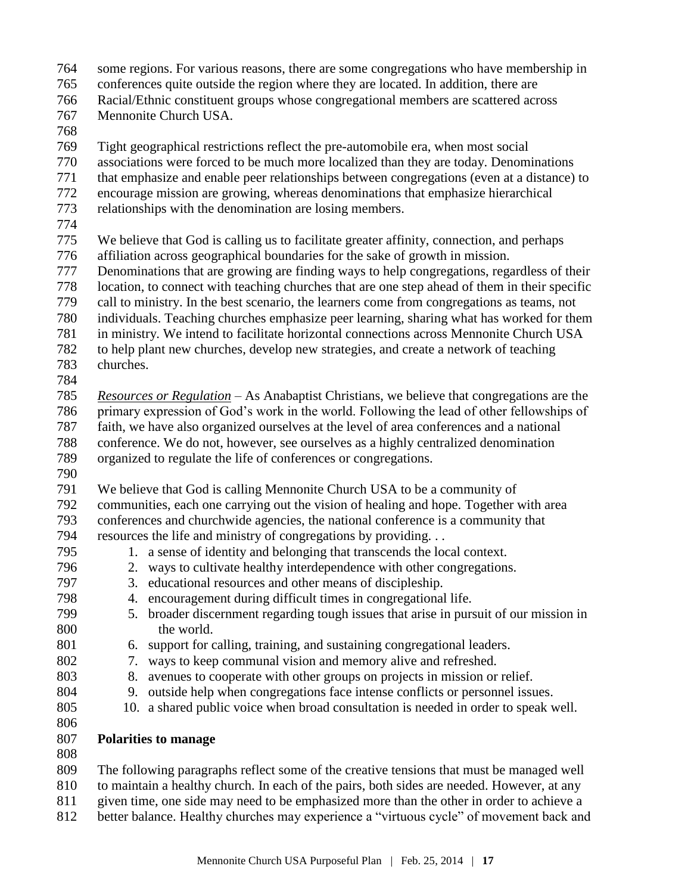- some regions. For various reasons, there are some congregations who have membership in conferences quite outside the region where they are located. In addition, there are
- Racial/Ethnic constituent groups whose congregational members are scattered across
- Mennonite Church USA.
- 

Tight geographical restrictions reflect the pre-automobile era, when most social

- associations were forced to be much more localized than they are today. Denominations
- that emphasize and enable peer relationships between congregations (even at a distance) to
- encourage mission are growing, whereas denominations that emphasize hierarchical
- relationships with the denomination are losing members.
- 
- We believe that God is calling us to facilitate greater affinity, connection, and perhaps
- affiliation across geographical boundaries for the sake of growth in mission.
- Denominations that are growing are finding ways to help congregations, regardless of their location, to connect with teaching churches that are one step ahead of them in their specific
- call to ministry. In the best scenario, the learners come from congregations as teams, not
- individuals. Teaching churches emphasize peer learning, sharing what has worked for them
- in ministry. We intend to facilitate horizontal connections across Mennonite Church USA
- to help plant new churches, develop new strategies, and create a network of teaching churches.
- 

 *Resources or Regulation* – As Anabaptist Christians, we believe that congregations are the primary expression of God's work in the world. Following the lead of other fellowships of faith, we have also organized ourselves at the level of area conferences and a national conference. We do not, however, see ourselves as a highly centralized denomination organized to regulate the life of conferences or congregations.

We believe that God is calling Mennonite Church USA to be a community of

 communities, each one carrying out the vision of healing and hope. Together with area conferences and churchwide agencies, the national conference is a community that resources the life and ministry of congregations by providing. . .

- 
- 1. a sense of identity and belonging that transcends the local context.
	- 2. ways to cultivate healthy interdependence with other congregations.
	- 3. educational resources and other means of discipleship.
	- 4. encouragement during difficult times in congregational life.
	- 5. broader discernment regarding tough issues that arise in pursuit of our mission in the world.
	- 6. support for calling, training, and sustaining congregational leaders.
	- 7. ways to keep communal vision and memory alive and refreshed.
	- 8. avenues to cooperate with other groups on projects in mission or relief.
	- 9. outside help when congregations face intense conflicts or personnel issues.
	- 10. a shared public voice when broad consultation is needed in order to speak well.
	- **Polarities to manage**
	-

The following paragraphs reflect some of the creative tensions that must be managed well

- to maintain a healthy church. In each of the pairs, both sides are needed. However, at any
- given time, one side may need to be emphasized more than the other in order to achieve a
- better balance. Healthy churches may experience a "virtuous cycle" of movement back and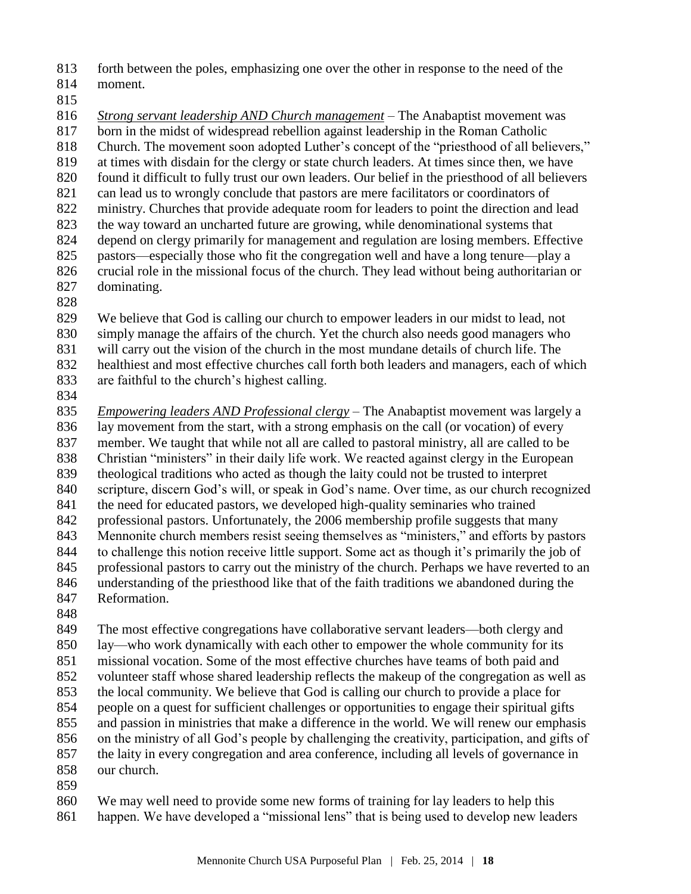forth between the poles, emphasizing one over the other in response to the need of the

- moment.
- 

 *Strong servant leadership AND Church management* – The Anabaptist movement was born in the midst of widespread rebellion against leadership in the Roman Catholic Church. The movement soon adopted Luther's concept of the "priesthood of all believers," at times with disdain for the clergy or state church leaders. At times since then, we have found it difficult to fully trust our own leaders. Our belief in the priesthood of all believers can lead us to wrongly conclude that pastors are mere facilitators or coordinators of ministry. Churches that provide adequate room for leaders to point the direction and lead the way toward an uncharted future are growing, while denominational systems that depend on clergy primarily for management and regulation are losing members. Effective pastors—especially those who fit the congregation well and have a long tenure—play a crucial role in the missional focus of the church. They lead without being authoritarian or dominating.

 We believe that God is calling our church to empower leaders in our midst to lead, not simply manage the affairs of the church. Yet the church also needs good managers who

will carry out the vision of the church in the most mundane details of church life. The

healthiest and most effective churches call forth both leaders and managers, each of which

are faithful to the church's highest calling.

 *Empowering leaders AND Professional clergy –* The Anabaptist movement was largely a lay movement from the start, with a strong emphasis on the call (or vocation) of every member. We taught that while not all are called to pastoral ministry, all are called to be Christian "ministers" in their daily life work. We reacted against clergy in the European theological traditions who acted as though the laity could not be trusted to interpret scripture, discern God's will, or speak in God's name. Over time, as our church recognized the need for educated pastors, we developed high-quality seminaries who trained professional pastors. Unfortunately, the 2006 membership profile suggests that many Mennonite church members resist seeing themselves as "ministers," and efforts by pastors to challenge this notion receive little support. Some act as though it's primarily the job of professional pastors to carry out the ministry of the church. Perhaps we have reverted to an understanding of the priesthood like that of the faith traditions we abandoned during the Reformation.

 The most effective congregations have collaborative servant leaders—both clergy and lay—who work dynamically with each other to empower the whole community for its missional vocation. Some of the most effective churches have teams of both paid and volunteer staff whose shared leadership reflects the makeup of the congregation as well as the local community. We believe that God is calling our church to provide a place for people on a quest for sufficient challenges or opportunities to engage their spiritual gifts and passion in ministries that make a difference in the world. We will renew our emphasis on the ministry of all God's people by challenging the creativity, participation, and gifts of the laity in every congregation and area conference, including all levels of governance in our church.

 We may well need to provide some new forms of training for lay leaders to help this happen. We have developed a "missional lens" that is being used to develop new leaders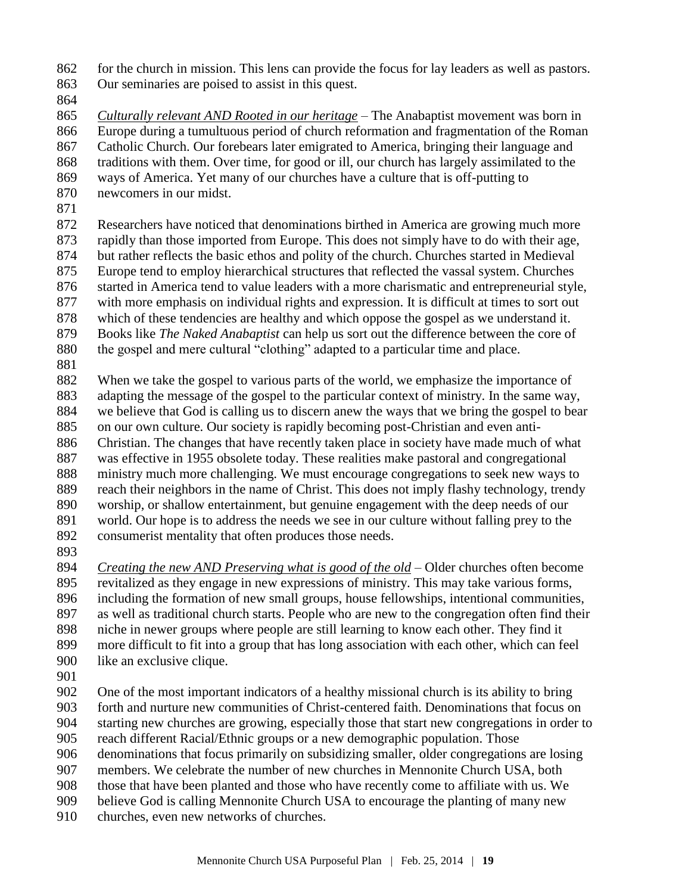for the church in mission. This lens can provide the focus for lay leaders as well as pastors. Our seminaries are poised to assist in this quest.

 *Culturally relevant AND Rooted in our heritage* – The Anabaptist movement was born in Europe during a tumultuous period of church reformation and fragmentation of the Roman Catholic Church. Our forebears later emigrated to America, bringing their language and traditions with them. Over time, for good or ill, our church has largely assimilated to the ways of America. Yet many of our churches have a culture that is off-putting to newcomers in our midst.

 Researchers have noticed that denominations birthed in America are growing much more rapidly than those imported from Europe. This does not simply have to do with their age, but rather reflects the basic ethos and polity of the church. Churches started in Medieval Europe tend to employ hierarchical structures that reflected the vassal system. Churches started in America tend to value leaders with a more charismatic and entrepreneurial style, with more emphasis on individual rights and expression. It is difficult at times to sort out which of these tendencies are healthy and which oppose the gospel as we understand it. Books like *The Naked Anabaptist* can help us sort out the difference between the core of

- the gospel and mere cultural "clothing" adapted to a particular time and place.
- 

 When we take the gospel to various parts of the world, we emphasize the importance of adapting the message of the gospel to the particular context of ministry. In the same way, we believe that God is calling us to discern anew the ways that we bring the gospel to bear on our own culture. Our society is rapidly becoming post-Christian and even anti- Christian. The changes that have recently taken place in society have made much of what was effective in 1955 obsolete today. These realities make pastoral and congregational ministry much more challenging. We must encourage congregations to seek new ways to reach their neighbors in the name of Christ. This does not imply flashy technology, trendy worship, or shallow entertainment, but genuine engagement with the deep needs of our world. Our hope is to address the needs we see in our culture without falling prey to the consumerist mentality that often produces those needs.

 *Creating the new AND Preserving what is good of the old* – Older churches often become revitalized as they engage in new expressions of ministry. This may take various forms, including the formation of new small groups, house fellowships, intentional communities, as well as traditional church starts. People who are new to the congregation often find their niche in newer groups where people are still learning to know each other. They find it more difficult to fit into a group that has long association with each other, which can feel like an exclusive clique.

 One of the most important indicators of a healthy missional church is its ability to bring forth and nurture new communities of Christ-centered faith. Denominations that focus on starting new churches are growing, especially those that start new congregations in order to reach different Racial/Ethnic groups or a new demographic population. Those denominations that focus primarily on subsidizing smaller, older congregations are losing members. We celebrate the number of new churches in Mennonite Church USA, both

those that have been planted and those who have recently come to affiliate with us. We

- believe God is calling Mennonite Church USA to encourage the planting of many new
- churches, even new networks of churches.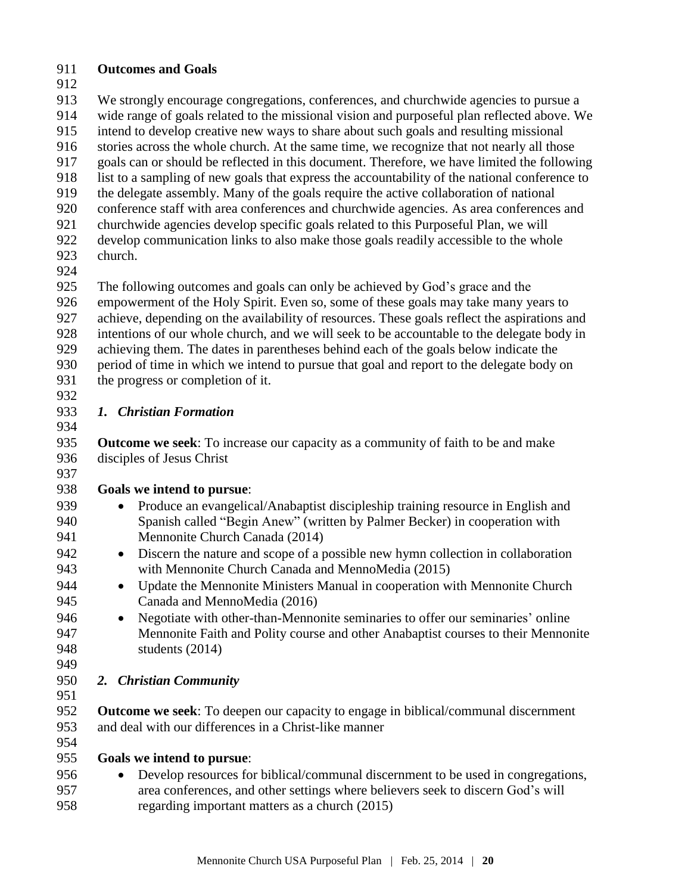### **Outcomes and Goals**

 We strongly encourage congregations, conferences, and churchwide agencies to pursue a wide range of goals related to the missional vision and purposeful plan reflected above. We intend to develop creative new ways to share about such goals and resulting missional stories across the whole church. At the same time, we recognize that not nearly all those goals can or should be reflected in this document. Therefore, we have limited the following list to a sampling of new goals that express the accountability of the national conference to the delegate assembly. Many of the goals require the active collaboration of national conference staff with area conferences and churchwide agencies. As area conferences and churchwide agencies develop specific goals related to this Purposeful Plan, we will develop communication links to also make those goals readily accessible to the whole

- church.
- 

 The following outcomes and goals can only be achieved by God's grace and the empowerment of the Holy Spirit. Even so, some of these goals may take many years to achieve, depending on the availability of resources. These goals reflect the aspirations and intentions of our whole church, and we will seek to be accountable to the delegate body in achieving them. The dates in parentheses behind each of the goals below indicate the period of time in which we intend to pursue that goal and report to the delegate body on the progress or completion of it.

#### *1. Christian Formation*

 **Outcome we seek**: To increase our capacity as a community of faith to be and make disciples of Jesus Christ 

## **Goals we intend to pursue**:

- 939 Produce an evangelical/Anabaptist discipleship training resource in English and Spanish called "Begin Anew" (written by Palmer Becker) in cooperation with Mennonite Church Canada (2014)
- Discern the nature and scope of a possible new hymn collection in collaboration with Mennonite Church Canada and MennoMedia (2015)
- Update the Mennonite Ministers Manual in cooperation with Mennonite Church Canada and MennoMedia (2016)
- Negotiate with other-than-Mennonite seminaries to offer our seminaries' online Mennonite Faith and Polity course and other Anabaptist courses to their Mennonite students (2014)
- 

## *2. Christian Community*

 **Outcome we seek**: To deepen our capacity to engage in biblical/communal discernment and deal with our differences in a Christ-like manner

## **Goals we intend to pursue**:

 Develop resources for biblical/communal discernment to be used in congregations, area conferences, and other settings where believers seek to discern God's will regarding important matters as a church (2015)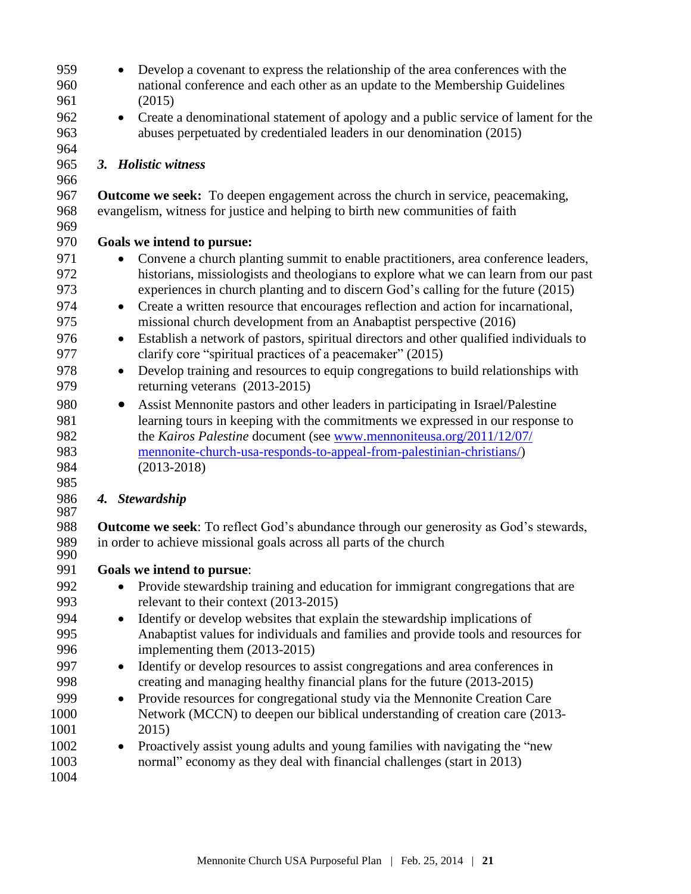- Develop a covenant to express the relationship of the area conferences with the national conference and each other as an update to the Membership Guidelines (2015) Create a denominational statement of apology and a public service of lament for the abuses perpetuated by credentialed leaders in our denomination (2015) *3. Holistic witness*  **Outcome we seek:** To deepen engagement across the church in service, peacemaking, evangelism, witness for justice and helping to birth new communities of faith **Goals we intend to pursue:** 971 • Convene a church planting summit to enable practitioners, area conference leaders, historians, missiologists and theologians to explore what we can learn from our past experiences in church planting and to discern God's calling for the future (2015) Create a written resource that encourages reflection and action for incarnational, missional church development from an Anabaptist perspective (2016) Establish a network of pastors, spiritual directors and other qualified individuals to clarify core "spiritual practices of a peacemaker" (2015) Develop training and resources to equip congregations to build relationships with returning veterans (2013-2015) Assist Mennonite pastors and other leaders in participating in Israel/Palestine learning tours in keeping with the commitments we expressed in our response to the *Kairos Palestine* document (see [www.mennoniteusa.org/2011/12/07/](http://www.mennoniteusa.org/2011/12/07/mennonite-church-usa-responds-to-appeal-from-palestinian-christians/) [mennonite-church-usa-responds-to-appeal-from-palestinian-christians/\)](http://www.mennoniteusa.org/2011/12/07/mennonite-church-usa-responds-to-appeal-from-palestinian-christians/) (2013-2018) *4. Stewardship* **Outcome we seek**: To reflect God's abundance through our generosity as God's stewards, in order to achieve missional goals across all parts of the church **Goals we intend to pursue**:
- Provide stewardship training and education for immigrant congregations that are relevant to their context (2013-2015)
- Identify or develop websites that explain the stewardship implications of Anabaptist values for individuals and families and provide tools and resources for implementing them (2013-2015)
- Identify or develop resources to assist congregations and area conferences in creating and managing healthy financial plans for the future (2013-2015)
- Provide resources for congregational study via the Mennonite Creation Care Network (MCCN) to deepen our biblical understanding of creation care (2013- 2015)
- 1002 Proactively assist young adults and young families with navigating the "new normal" economy as they deal with financial challenges (start in 2013)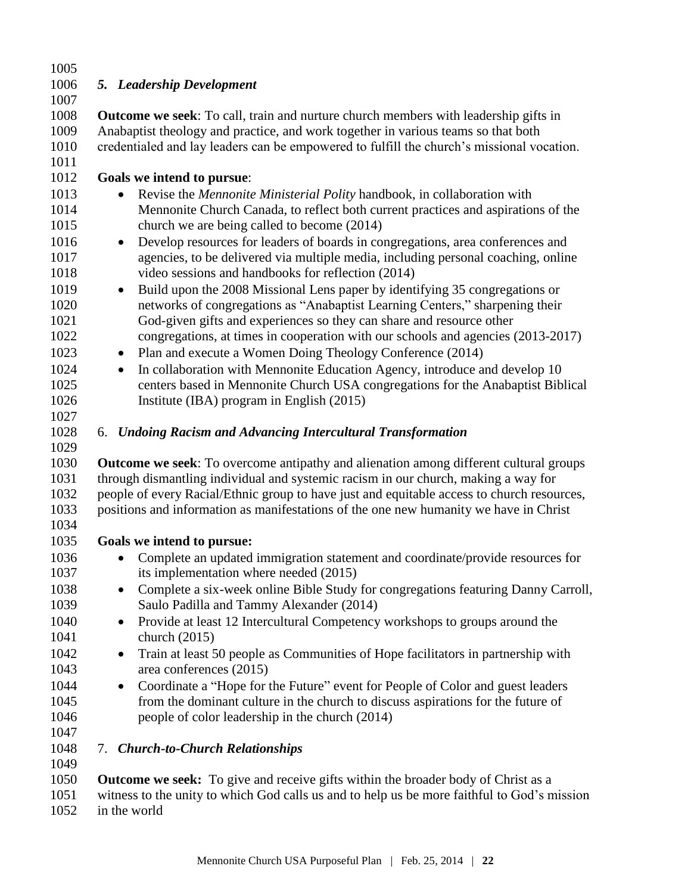| 1005         |                                                                                                                                  |
|--------------|----------------------------------------------------------------------------------------------------------------------------------|
| 1006         | 5. Leadership Development                                                                                                        |
| 1007         |                                                                                                                                  |
| 1008         | <b>Outcome we seek:</b> To call, train and nurture church members with leadership gifts in                                       |
| 1009         | Anabaptist theology and practice, and work together in various teams so that both                                                |
| 1010         | credentialed and lay leaders can be empowered to fulfill the church's missional vocation.                                        |
| 1011         |                                                                                                                                  |
| 1012         | Goals we intend to pursue:                                                                                                       |
| 1013         | Revise the Mennonite Ministerial Polity handbook, in collaboration with<br>$\bullet$                                             |
| 1014<br>1015 | Mennonite Church Canada, to reflect both current practices and aspirations of the<br>church we are being called to become (2014) |
| 1016         | Develop resources for leaders of boards in congregations, area conferences and<br>$\bullet$                                      |
| 1017         | agencies, to be delivered via multiple media, including personal coaching, online                                                |
| 1018         | video sessions and handbooks for reflection (2014)                                                                               |
| 1019         | Build upon the 2008 Missional Lens paper by identifying 35 congregations or<br>$\bullet$                                         |
| 1020         | networks of congregations as "Anabaptist Learning Centers," sharpening their                                                     |
| 1021         | God-given gifts and experiences so they can share and resource other                                                             |
| 1022         | congregations, at times in cooperation with our schools and agencies (2013-2017)                                                 |
| 1023         | Plan and execute a Women Doing Theology Conference (2014)<br>$\bullet$                                                           |
| 1024         | In collaboration with Mennonite Education Agency, introduce and develop 10<br>$\bullet$                                          |
| 1025         | centers based in Mennonite Church USA congregations for the Anabaptist Biblical                                                  |
| 1026         | Institute (IBA) program in English (2015)                                                                                        |
| 1027         |                                                                                                                                  |
| 1028         | 6. Undoing Racism and Advancing Intercultural Transformation                                                                     |
| 1029         |                                                                                                                                  |
| 1030         | <b>Outcome we seek:</b> To overcome antipathy and alienation among different cultural groups                                     |
| 1031         | through dismantling individual and systemic racism in our church, making a way for                                               |
| 1032         | people of every Racial/Ethnic group to have just and equitable access to church resources,                                       |
| 1033         | positions and information as manifestations of the one new humanity we have in Christ                                            |
| 1034         |                                                                                                                                  |
| 1035         | Goals we intend to pursue:                                                                                                       |
| 1036         | Complete an updated immigration statement and coordinate/provide resources for<br>$\bullet$                                      |
| 1037         | its implementation where needed (2015)                                                                                           |
| 1038         | Complete a six-week online Bible Study for congregations featuring Danny Carroll,                                                |
| 1039         | Saulo Padilla and Tammy Alexander (2014)                                                                                         |
| 1040         | Provide at least 12 Intercultural Competency workshops to groups around the                                                      |
| 1041         | church $(2015)$                                                                                                                  |
| 1042         | Train at least 50 people as Communities of Hope facilitators in partnership with<br>$\bullet$                                    |
| 1043         | area conferences (2015)                                                                                                          |
| 1044         | Coordinate a "Hope for the Future" event for People of Color and guest leaders<br>$\bullet$                                      |
| 1045         | from the dominant culture in the church to discuss aspirations for the future of                                                 |
| 1046         | people of color leadership in the church (2014)                                                                                  |
| 1047         |                                                                                                                                  |
| 1048         | 7. Church-to-Church Relationships                                                                                                |
| 1049         |                                                                                                                                  |
| 1050         | <b>Outcome we seek:</b> To give and receive gifts within the broader body of Christ as a                                         |
| 1051         | witness to the unity to which God calls us and to help us be more faithful to God's mission                                      |

in the world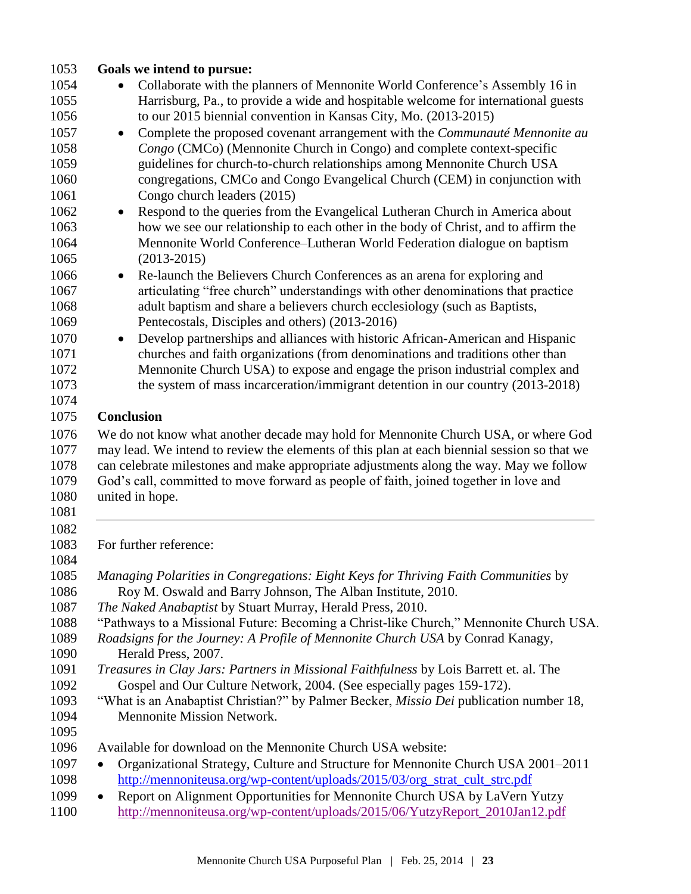| 1053 | Goals we intend to pursue:                                                                      |
|------|-------------------------------------------------------------------------------------------------|
| 1054 | Collaborate with the planners of Mennonite World Conference's Assembly 16 in                    |
| 1055 | Harrisburg, Pa., to provide a wide and hospitable welcome for international guests              |
| 1056 | to our 2015 biennial convention in Kansas City, Mo. (2013-2015)                                 |
| 1057 | Complete the proposed covenant arrangement with the <i>Communauté Mennonite au</i><br>$\bullet$ |
| 1058 | Congo (CMCo) (Mennonite Church in Congo) and complete context-specific                          |
| 1059 | guidelines for church-to-church relationships among Mennonite Church USA                        |
| 1060 | congregations, CMCo and Congo Evangelical Church (CEM) in conjunction with                      |
| 1061 | Congo church leaders (2015)                                                                     |
| 1062 | Respond to the queries from the Evangelical Lutheran Church in America about<br>$\bullet$       |
| 1063 | how we see our relationship to each other in the body of Christ, and to affirm the              |
| 1064 | Mennonite World Conference-Lutheran World Federation dialogue on baptism                        |
| 1065 | $(2013 - 2015)$                                                                                 |
|      |                                                                                                 |
| 1066 | Re-launch the Believers Church Conferences as an arena for exploring and<br>$\bullet$           |
| 1067 | articulating "free church" understandings with other denominations that practice                |
| 1068 | adult baptism and share a believers church ecclesiology (such as Baptists,                      |
| 1069 | Pentecostals, Disciples and others) (2013-2016)                                                 |
| 1070 | Develop partnerships and alliances with historic African-American and Hispanic<br>$\bullet$     |
| 1071 | churches and faith organizations (from denominations and traditions other than                  |
| 1072 | Mennonite Church USA) to expose and engage the prison industrial complex and                    |
| 1073 | the system of mass incarceration/immigrant detention in our country (2013-2018)                 |
| 1074 |                                                                                                 |
| 1075 | <b>Conclusion</b>                                                                               |
| 1076 | We do not know what another decade may hold for Mennonite Church USA, or where God              |
| 1077 | may lead. We intend to review the elements of this plan at each biennial session so that we     |
| 1078 | can celebrate milestones and make appropriate adjustments along the way. May we follow          |
| 1079 | God's call, committed to move forward as people of faith, joined together in love and           |
| 1080 | united in hope.                                                                                 |
| 1081 |                                                                                                 |
| 1082 |                                                                                                 |
| 1083 | For further reference:                                                                          |
| 1084 |                                                                                                 |
| 1085 | Managing Polarities in Congregations: Eight Keys for Thriving Faith Communities by              |
| 1086 | Roy M. Oswald and Barry Johnson, The Alban Institute, 2010.                                     |
| 1087 | The Naked Anabaptist by Stuart Murray, Herald Press, 2010.                                      |
| 1088 | "Pathways to a Missional Future: Becoming a Christ-like Church," Mennonite Church USA.          |
| 1089 | Roadsigns for the Journey: A Profile of Mennonite Church USA by Conrad Kanagy,                  |
| 1090 | Herald Press, 2007.                                                                             |
| 1091 | Treasures in Clay Jars: Partners in Missional Faithfulness by Lois Barrett et. al. The          |
| 1092 | Gospel and Our Culture Network, 2004. (See especially pages 159-172).                           |
| 1093 | "What is an Anabaptist Christian?" by Palmer Becker, <i>Missio Dei</i> publication number 18,   |
| 1094 | Mennonite Mission Network.                                                                      |
| 1095 |                                                                                                 |
| 1096 | Available for download on the Mennonite Church USA website:                                     |
| 1097 | Organizational Strategy, Culture and Structure for Mennonite Church USA 2001-2011               |
| 1098 | http://mennoniteusa.org/wp-content/uploads/2015/03/org_strat_cult_strc.pdf                      |
| 1099 |                                                                                                 |
|      | Report on Alignment Opportunities for Mennonite Church USA by LaVern Yutzy<br>٠                 |
| 1100 | http://mennoniteusa.org/wp-content/uploads/2015/06/YutzyReport_2010Jan12.pdf                    |